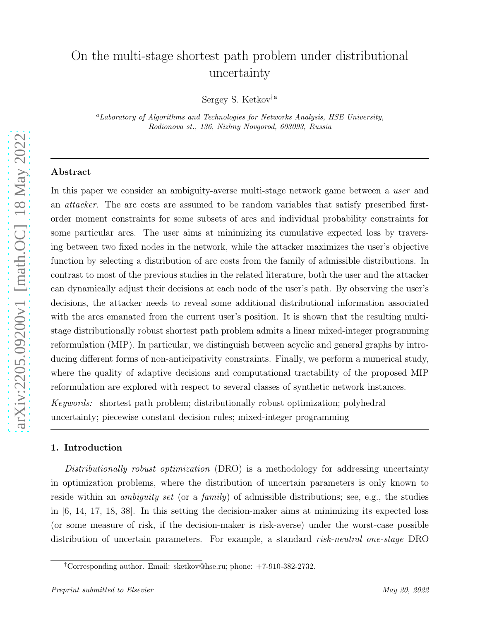# On the multi-stage shortest path problem under distributional uncertainty

Sergey S. Ketkov†<sup>a</sup>

<sup>a</sup>Laboratory of Algorithms and Technologies for Networks Analysis, HSE University, Rodionova st., 136, Nizhny Novgorod, 603093, Russia

## Abstract

In this paper we consider an ambiguity-averse multi-stage network game between a user and an *attacker*. The arc costs are assumed to be random variables that satisfy prescribed firstorder moment constraints for some subsets of arcs and individual probability constraints for some particular arcs. The user aims at minimizing its cumulative expected loss by traversing between two fixed nodes in the network, while the attacker maximizes the user's objective function by selecting a distribution of arc costs from the family of admissible distributions. In contrast to most of the previous studies in the related literature, both the user and the attacker can dynamically adjust their decisions at each node of the user's path. By observing the user's decisions, the attacker needs to reveal some additional distributional information associated with the arcs emanated from the current user's position. It is shown that the resulting multistage distributionally robust shortest path problem admits a linear mixed-integer programming reformulation (MIP). In particular, we distinguish between acyclic and general graphs by introducing different forms of non-anticipativity constraints. Finally, we perform a numerical study, where the quality of adaptive decisions and computational tractability of the proposed MIP reformulation are explored with respect to several classes of synthetic network instances. Keywords: shortest path problem; distributionally robust optimization; polyhedral uncertainty; piecewise constant decision rules; mixed-integer programming

## 1. Introduction

Distributionally robust optimization (DRO) is a methodology for addressing uncertainty in optimization problems, where the distribution of uncertain parameters is only known to reside within an *ambiguity set* (or a *family*) of admissible distributions; see, e.g., the studies in [6, 14, 17, 18, 38]. In this setting the decision-maker aims at minimizing its expected loss (or some measure of risk, if the decision-maker is risk-averse) under the worst-case possible distribution of uncertain parameters. For example, a standard risk-neutral one-stage DRO

<sup>†</sup>Corresponding author. Email: sketkov@hse.ru; phone: +7-910-382-2732.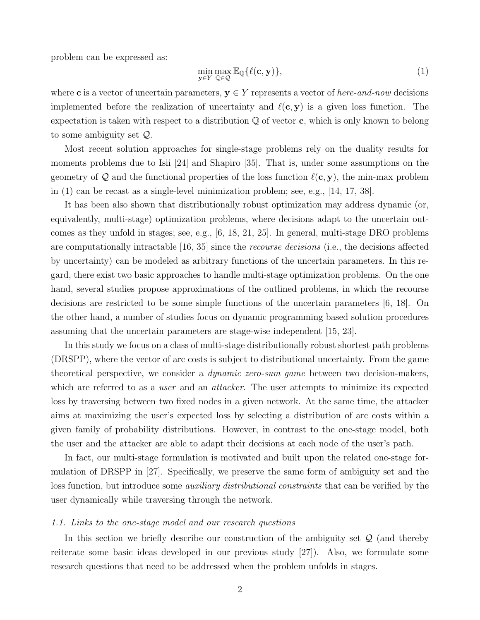problem can be expressed as:

$$
\min_{\mathbf{y}\in Y} \max_{\mathbb{Q}\in\mathcal{Q}} \mathbb{E}_{\mathbb{Q}}\{\ell(\mathbf{c}, \mathbf{y})\},\tag{1}
$$

where c is a vector of uncertain parameters,  $y \in Y$  represents a vector of here-and-now decisions implemented before the realization of uncertainty and  $\ell(c, y)$  is a given loss function. The expectation is taken with respect to a distribution  $\mathbb Q$  of vector c, which is only known to belong to some ambiguity set Q.

Most recent solution approaches for single-stage problems rely on the duality results for moments problems due to Isii [24] and Shapiro [35]. That is, under some assumptions on the geometry of Q and the functional properties of the loss function  $\ell(c, y)$ , the min-max problem in (1) can be recast as a single-level minimization problem; see, e.g., [14, 17, 38].

It has been also shown that distributionally robust optimization may address dynamic (or, equivalently, multi-stage) optimization problems, where decisions adapt to the uncertain outcomes as they unfold in stages; see, e.g., [6, 18, 21, 25]. In general, multi-stage DRO problems are computationally intractable [16, 35] since the *recourse decisions* (i.e., the decisions affected by uncertainty) can be modeled as arbitrary functions of the uncertain parameters. In this regard, there exist two basic approaches to handle multi-stage optimization problems. On the one hand, several studies propose approximations of the outlined problems, in which the recourse decisions are restricted to be some simple functions of the uncertain parameters [6, 18]. On the other hand, a number of studies focus on dynamic programming based solution procedures assuming that the uncertain parameters are stage-wise independent [15, 23].

In this study we focus on a class of multi-stage distributionally robust shortest path problems (DRSPP), where the vector of arc costs is subject to distributional uncertainty. From the game theoretical perspective, we consider a *dynamic zero-sum game* between two decision-makers, which are referred to as a *user* and an *attacker*. The user attempts to minimize its expected loss by traversing between two fixed nodes in a given network. At the same time, the attacker aims at maximizing the user's expected loss by selecting a distribution of arc costs within a given family of probability distributions. However, in contrast to the one-stage model, both the user and the attacker are able to adapt their decisions at each node of the user's path.

In fact, our multi-stage formulation is motivated and built upon the related one-stage formulation of DRSPP in [27]. Specifically, we preserve the same form of ambiguity set and the loss function, but introduce some *auxiliary distributional constraints* that can be verified by the user dynamically while traversing through the network.

#### 1.1. Links to the one-stage model and our research questions

In this section we briefly describe our construction of the ambiguity set  $\mathcal{Q}$  (and thereby reiterate some basic ideas developed in our previous study [27]). Also, we formulate some research questions that need to be addressed when the problem unfolds in stages.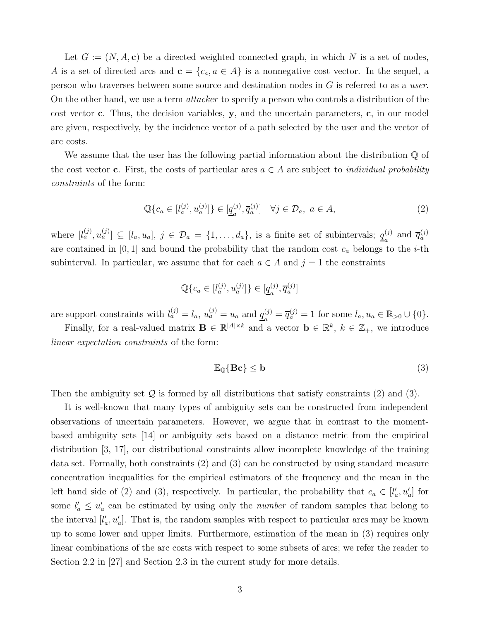Let  $G := (N, A, c)$  be a directed weighted connected graph, in which N is a set of nodes, A is a set of directed arcs and  $\mathbf{c} = \{c_a, a \in A\}$  is a nonnegative cost vector. In the sequel, a person who traverses between some source and destination nodes in G is referred to as a user. On the other hand, we use a term *attacker* to specify a person who controls a distribution of the cost vector c. Thus, the decision variables,  $y$ , and the uncertain parameters, c, in our model are given, respectively, by the incidence vector of a path selected by the user and the vector of arc costs.

We assume that the user has the following partial information about the distribution  $\mathbb Q$  of the cost vector c. First, the costs of particular arcs  $a \in A$  are subject to *individual probability* constraints of the form:

$$
\mathbb{Q}\{c_a \in [l_a^{(j)}, u_a^{(j)}]\} \in [\underline{q}_a^{(j)}, \overline{q}_a^{(j)}] \quad \forall j \in \mathcal{D}_a, \ a \in A,\tag{2}
$$

where  $[l_a^{(j)}, u_a^{(j)}] \subseteq [l_a, u_a], j \in \mathcal{D}_a = \{1, \ldots, d_a\}$ , is a finite set of subintervals;  $q_a^{(j)}$  $\frac{(j)}{a}$  and  $\overline{q}_a^{(j)}$ are contained in  $[0, 1]$  and bound the probability that the random cost  $c_a$  belongs to the *i*-th subinterval. In particular, we assume that for each  $a \in A$  and  $j = 1$  the constraints

$$
\mathbb{Q}\{c_a \in [l^{(j)}_a, u^{(j)}_a]\} \in [\underline{q}^{(j)}_a, \overline{q}^{(j)}_a]
$$

are support constraints with  $l_a^{(j)} = l_a$ ,  $u_a^{(j)} = u_a$  and  $q_a^{(j)}$  $a_a^{(j)} = \overline{q}_a^{(j)} = 1$  for some  $l_a, u_a \in \mathbb{R}_{>0} \cup \{0\}.$ 

Finally, for a real-valued matrix  $\mathbf{B} \in \mathbb{R}^{|A| \times k}$  and a vector  $\mathbf{b} \in \mathbb{R}^k$ ,  $k \in \mathbb{Z}_+$ , we introduce linear expectation constraints of the form:

$$
\mathbb{E}_{\mathbb{Q}}\{\mathbf{B}\mathbf{c}\} \le \mathbf{b} \tag{3}
$$

Then the ambiguity set  $\mathcal Q$  is formed by all distributions that satisfy constraints (2) and (3).

It is well-known that many types of ambiguity sets can be constructed from independent observations of uncertain parameters. However, we argue that in contrast to the momentbased ambiguity sets [14] or ambiguity sets based on a distance metric from the empirical distribution [3, 17], our distributional constraints allow incomplete knowledge of the training data set. Formally, both constraints (2) and (3) can be constructed by using standard measure concentration inequalities for the empirical estimators of the frequency and the mean in the left hand side of (2) and (3), respectively. In particular, the probability that  $c_a \in [l'_a, u'_a]$  for some  $l'_a \leq u'_a$  can be estimated by using only the *number* of random samples that belong to the interval  $[l'_a, u'_a]$ . That is, the random samples with respect to particular arcs may be known up to some lower and upper limits. Furthermore, estimation of the mean in (3) requires only linear combinations of the arc costs with respect to some subsets of arcs; we refer the reader to Section 2.2 in [27] and Section 2.3 in the current study for more details.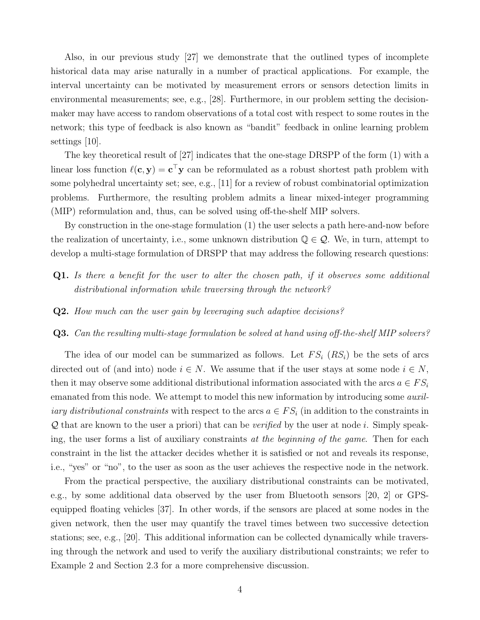Also, in our previous study [27] we demonstrate that the outlined types of incomplete historical data may arise naturally in a number of practical applications. For example, the interval uncertainty can be motivated by measurement errors or sensors detection limits in environmental measurements; see, e.g., [28]. Furthermore, in our problem setting the decisionmaker may have access to random observations of a total cost with respect to some routes in the network; this type of feedback is also known as "bandit" feedback in online learning problem settings [10].

The key theoretical result of [27] indicates that the one-stage DRSPP of the form (1) with a linear loss function  $\ell(c, y) = c^{\top}y$  can be reformulated as a robust shortest path problem with some polyhedral uncertainty set; see, e.g., [11] for a review of robust combinatorial optimization problems. Furthermore, the resulting problem admits a linear mixed-integer programming (MIP) reformulation and, thus, can be solved using off-the-shelf MIP solvers.

By construction in the one-stage formulation (1) the user selects a path here-and-now before the realization of uncertainty, i.e., some unknown distribution  $\mathbb{Q} \in \mathcal{Q}$ . We, in turn, attempt to develop a multi-stage formulation of DRSPP that may address the following research questions:

- Q1. Is there a benefit for the user to alter the chosen path, if it observes some additional distributional information while traversing through the network?
- Q2. How much can the user gain by leveraging such adaptive decisions?
- Q3. Can the resulting multi-stage formulation be solved at hand using off-the-shelf MIP solvers?

The idea of our model can be summarized as follows. Let  $FS_i$   $(RS_i)$  be the sets of arcs directed out of (and into) node  $i \in N$ . We assume that if the user stays at some node  $i \in N$ , then it may observe some additional distributional information associated with the arcs  $a \in FS_i$ emanated from this node. We attempt to model this new information by introducing some *auxiliary distributional constraints* with respect to the arcs  $a \in FS_i$  (in addition to the constraints in  $\mathcal Q$  that are known to the user a priori) that can be verified by the user at node i. Simply speaking, the user forms a list of auxiliary constraints at the beginning of the game. Then for each constraint in the list the attacker decides whether it is satisfied or not and reveals its response, i.e., "yes" or "no", to the user as soon as the user achieves the respective node in the network.

From the practical perspective, the auxiliary distributional constraints can be motivated, e.g., by some additional data observed by the user from Bluetooth sensors [20, 2] or GPSequipped floating vehicles [37]. In other words, if the sensors are placed at some nodes in the given network, then the user may quantify the travel times between two successive detection stations; see, e.g., [20]. This additional information can be collected dynamically while traversing through the network and used to verify the auxiliary distributional constraints; we refer to Example 2 and Section 2.3 for a more comprehensive discussion.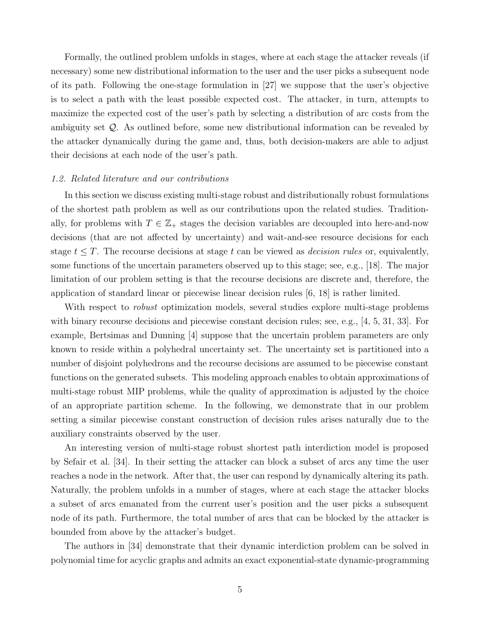Formally, the outlined problem unfolds in stages, where at each stage the attacker reveals (if necessary) some new distributional information to the user and the user picks a subsequent node of its path. Following the one-stage formulation in [27] we suppose that the user's objective is to select a path with the least possible expected cost. The attacker, in turn, attempts to maximize the expected cost of the user's path by selecting a distribution of arc costs from the ambiguity set Q. As outlined before, some new distributional information can be revealed by the attacker dynamically during the game and, thus, both decision-makers are able to adjust their decisions at each node of the user's path.

### 1.2. Related literature and our contributions

In this section we discuss existing multi-stage robust and distributionally robust formulations of the shortest path problem as well as our contributions upon the related studies. Traditionally, for problems with  $T \in \mathbb{Z}_+$  stages the decision variables are decoupled into here-and-now decisions (that are not affected by uncertainty) and wait-and-see resource decisions for each stage  $t \leq T$ . The recourse decisions at stage t can be viewed as *decision rules* or, equivalently, some functions of the uncertain parameters observed up to this stage; see, e.g., [18]. The major limitation of our problem setting is that the recourse decisions are discrete and, therefore, the application of standard linear or piecewise linear decision rules [6, 18] is rather limited.

With respect to *robust* optimization models, several studies explore multi-stage problems with binary recourse decisions and piecewise constant decision rules; see, e.g., [4, 5, 31, 33]. For example, Bertsimas and Dunning [4] suppose that the uncertain problem parameters are only known to reside within a polyhedral uncertainty set. The uncertainty set is partitioned into a number of disjoint polyhedrons and the recourse decisions are assumed to be piecewise constant functions on the generated subsets. This modeling approach enables to obtain approximations of multi-stage robust MIP problems, while the quality of approximation is adjusted by the choice of an appropriate partition scheme. In the following, we demonstrate that in our problem setting a similar piecewise constant construction of decision rules arises naturally due to the auxiliary constraints observed by the user.

An interesting version of multi-stage robust shortest path interdiction model is proposed by Sefair et al. [34]. In their setting the attacker can block a subset of arcs any time the user reaches a node in the network. After that, the user can respond by dynamically altering its path. Naturally, the problem unfolds in a number of stages, where at each stage the attacker blocks a subset of arcs emanated from the current user's position and the user picks a subsequent node of its path. Furthermore, the total number of arcs that can be blocked by the attacker is bounded from above by the attacker's budget.

The authors in [34] demonstrate that their dynamic interdiction problem can be solved in polynomial time for acyclic graphs and admits an exact exponential-state dynamic-programming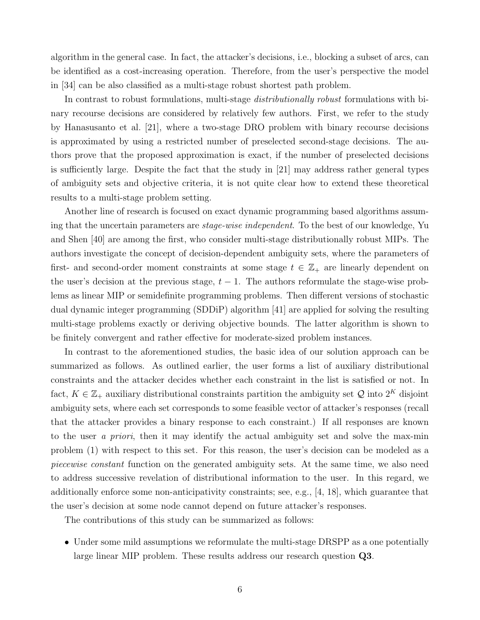algorithm in the general case. In fact, the attacker's decisions, i.e., blocking a subset of arcs, can be identified as a cost-increasing operation. Therefore, from the user's perspective the model in [34] can be also classified as a multi-stage robust shortest path problem.

In contrast to robust formulations, multi-stage *distributionally robust* formulations with binary recourse decisions are considered by relatively few authors. First, we refer to the study by Hanasusanto et al. [21], where a two-stage DRO problem with binary recourse decisions is approximated by using a restricted number of preselected second-stage decisions. The authors prove that the proposed approximation is exact, if the number of preselected decisions is sufficiently large. Despite the fact that the study in [21] may address rather general types of ambiguity sets and objective criteria, it is not quite clear how to extend these theoretical results to a multi-stage problem setting.

Another line of research is focused on exact dynamic programming based algorithms assuming that the uncertain parameters are *stage-wise independent*. To the best of our knowledge, Yu and Shen [40] are among the first, who consider multi-stage distributionally robust MIPs. The authors investigate the concept of decision-dependent ambiguity sets, where the parameters of first- and second-order moment constraints at some stage  $t \in \mathbb{Z}_+$  are linearly dependent on the user's decision at the previous stage,  $t - 1$ . The authors reformulate the stage-wise problems as linear MIP or semidefinite programming problems. Then different versions of stochastic dual dynamic integer programming (SDDiP) algorithm [41] are applied for solving the resulting multi-stage problems exactly or deriving objective bounds. The latter algorithm is shown to be finitely convergent and rather effective for moderate-sized problem instances.

In contrast to the aforementioned studies, the basic idea of our solution approach can be summarized as follows. As outlined earlier, the user forms a list of auxiliary distributional constraints and the attacker decides whether each constraint in the list is satisfied or not. In fact,  $K \in \mathbb{Z}_+$  auxiliary distributional constraints partition the ambiguity set  $\mathcal{Q}$  into  $2^K$  disjoint ambiguity sets, where each set corresponds to some feasible vector of attacker's responses (recall that the attacker provides a binary response to each constraint.) If all responses are known to the user a priori, then it may identify the actual ambiguity set and solve the max-min problem (1) with respect to this set. For this reason, the user's decision can be modeled as a piecewise constant function on the generated ambiguity sets. At the same time, we also need to address successive revelation of distributional information to the user. In this regard, we additionally enforce some non-anticipativity constraints; see, e.g., [4, 18], which guarantee that the user's decision at some node cannot depend on future attacker's responses.

The contributions of this study can be summarized as follows:

• Under some mild assumptions we reformulate the multi-stage DRSPP as a one potentially large linear MIP problem. These results address our research question Q3.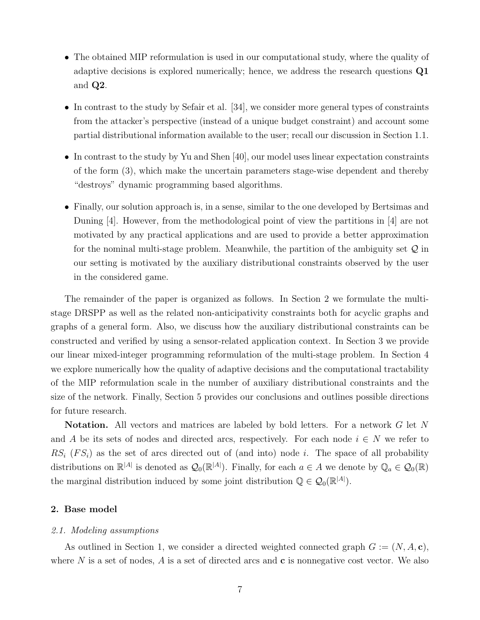- The obtained MIP reformulation is used in our computational study, where the quality of adaptive decisions is explored numerically; hence, we address the research questions Q1 and Q2.
- In contrast to the study by Sefair et al. [34], we consider more general types of constraints from the attacker's perspective (instead of a unique budget constraint) and account some partial distributional information available to the user; recall our discussion in Section 1.1.
- In contrast to the study by Yu and Shen [40], our model uses linear expectation constraints of the form (3), which make the uncertain parameters stage-wise dependent and thereby "destroys" dynamic programming based algorithms.
- Finally, our solution approach is, in a sense, similar to the one developed by Bertsimas and Duning [4]. However, from the methodological point of view the partitions in [4] are not motivated by any practical applications and are used to provide a better approximation for the nominal multi-stage problem. Meanwhile, the partition of the ambiguity set  $\mathcal Q$  in our setting is motivated by the auxiliary distributional constraints observed by the user in the considered game.

The remainder of the paper is organized as follows. In Section 2 we formulate the multistage DRSPP as well as the related non-anticipativity constraints both for acyclic graphs and graphs of a general form. Also, we discuss how the auxiliary distributional constraints can be constructed and verified by using a sensor-related application context. In Section 3 we provide our linear mixed-integer programming reformulation of the multi-stage problem. In Section 4 we explore numerically how the quality of adaptive decisions and the computational tractability of the MIP reformulation scale in the number of auxiliary distributional constraints and the size of the network. Finally, Section 5 provides our conclusions and outlines possible directions for future research.

Notation. All vectors and matrices are labeled by bold letters. For a network G let N and A be its sets of nodes and directed arcs, respectively. For each node  $i \in N$  we refer to  $RS_i$  (FS<sub>i</sub>) as the set of arcs directed out of (and into) node i. The space of all probability distributions on  $\mathbb{R}^{|A|}$  is denoted as  $\mathcal{Q}_0(\mathbb{R}^{|A|})$ . Finally, for each  $a \in A$  we denote by  $\mathbb{Q}_a \in \mathcal{Q}_0(\mathbb{R})$ the marginal distribution induced by some joint distribution  $\mathbb{Q} \in \mathcal{Q}_0(\mathbb{R}^{|A|})$ .

# 2. Base model

#### 2.1. Modeling assumptions

As outlined in Section 1, we consider a directed weighted connected graph  $G := (N, A, c)$ , where  $N$  is a set of nodes,  $A$  is a set of directed arcs and  $c$  is nonnegative cost vector. We also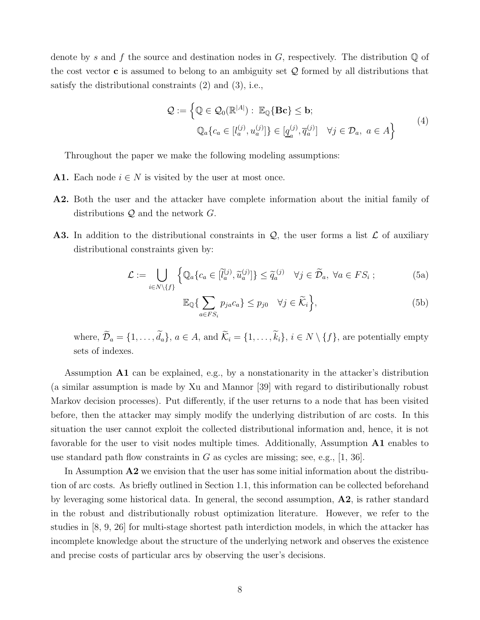denote by s and f the source and destination nodes in G, respectively. The distribution  $\mathbb Q$  of the cost vector **c** is assumed to belong to an ambiguity set  $Q$  formed by all distributions that satisfy the distributional constraints (2) and (3), i.e.,

$$
\mathcal{Q} := \left\{ \mathbb{Q} \in \mathcal{Q}_0(\mathbb{R}^{|A|}) : \mathbb{E}_{\mathbb{Q}}\{\mathbf{Bc}\} \leq \mathbf{b};
$$
  

$$
\mathbb{Q}_a\{c_a \in [l_a^{(j)}, u_a^{(j)}]\} \in [\underline{q}_a^{(j)}, \overline{q}_a^{(j)}] \quad \forall j \in \mathcal{D}_a, \ a \in A \right\}
$$
<sup>(4)</sup>

Throughout the paper we make the following modeling assumptions:

- **A1.** Each node  $i \in N$  is visited by the user at most once.
- A2. Both the user and the attacker have complete information about the initial family of distributions  $Q$  and the network  $G$ .
- **A3.** In addition to the distributional constraints in  $\mathcal{Q}$ , the user forms a list  $\mathcal{L}$  of auxiliary distributional constraints given by:

$$
\mathcal{L} := \bigcup_{i \in N \setminus \{f\}} \left\{ \mathbb{Q}_a \{ c_a \in [\tilde{l}_a^{(j)}, \tilde{u}_a^{(j)}] \} \le \tilde{q}_a^{(j)} \quad \forall j \in \tilde{\mathcal{D}}_a, \ \forall a \in FS_i ; \right\}
$$
(5a)

$$
\mathbb{E}_{\mathbb{Q}}\{\sum_{a\in FS_i}p_{ja}c_a\} \leq p_{j0} \quad \forall j \in \widetilde{\mathcal{K}}_i\},\tag{5b}
$$

where,  $\widetilde{\mathcal{D}}_a = \{1, \ldots, \widetilde{d}_a\}, a \in A$ , and  $\widetilde{\mathcal{K}}_i = \{1, \ldots, \widetilde{k}_i\}, i \in N \setminus \{f\}$ , are potentially empty sets of indexes.

Assumption  $\mathbf{A1}$  can be explained, e.g., by a nonstationarity in the attacker's distribution (a similar assumption is made by Xu and Mannor [39] with regard to distiributionally robust Markov decision processes). Put differently, if the user returns to a node that has been visited before, then the attacker may simply modify the underlying distribution of arc costs. In this situation the user cannot exploit the collected distributional information and, hence, it is not favorable for the user to visit nodes multiple times. Additionally, Assumption **A1** enables to use standard path flow constraints in G as cycles are missing; see, e.g.,  $[1, 36]$ .

In Assumption  $\mathbf{A2}$  we envision that the user has some initial information about the distribution of arc costs. As briefly outlined in Section 1.1, this information can be collected beforehand by leveraging some historical data. In general, the second assumption, A2, is rather standard in the robust and distributionally robust optimization literature. However, we refer to the studies in [8, 9, 26] for multi-stage shortest path interdiction models, in which the attacker has incomplete knowledge about the structure of the underlying network and observes the existence and precise costs of particular arcs by observing the user's decisions.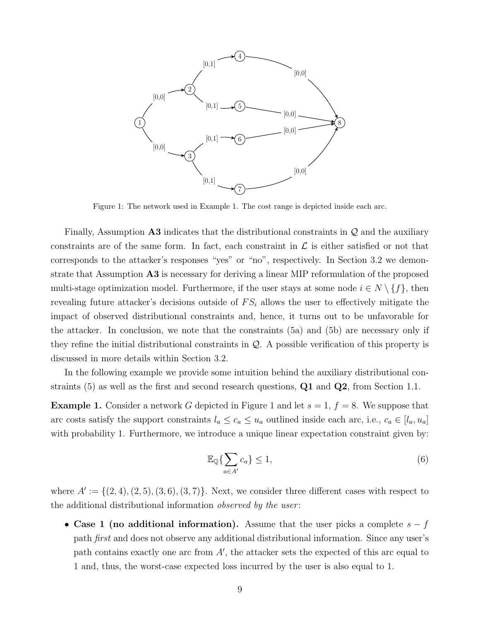

Figure 1: The network used in Example 1. The cost range is depicted inside each arc.

Finally, Assumption  $\Delta 3$  indicates that the distributional constraints in  $\mathcal Q$  and the auxiliary constraints are of the same form. In fact, each constraint in  $\mathcal L$  is either satisfied or not that corresponds to the attacker's responses "yes" or "no", respectively. In Section 3.2 we demonstrate that Assumption A3 is necessary for deriving a linear MIP reformulation of the proposed multi-stage optimization model. Furthermore, if the user stays at some node  $i \in N \setminus \{f\}$ , then revealing future attacker's decisions outside of  $FS_i$  allows the user to effectively mitigate the impact of observed distributional constraints and, hence, it turns out to be unfavorable for the attacker. In conclusion, we note that the constraints (5a) and (5b) are necessary only if they refine the initial distributional constraints in  $\mathcal{Q}$ . A possible verification of this property is discussed in more details within Section 3.2.

In the following example we provide some intuition behind the auxiliary distributional constraints  $(5)$  as well as the first and second research questions,  $\mathbf{Q1}$  and  $\mathbf{Q2}$ , from Section 1.1.

**Example 1.** Consider a network G depicted in Figure 1 and let  $s = 1, f = 8$ . We suppose that arc costs satisfy the support constraints  $l_a \leq c_a \leq u_a$  outlined inside each arc, i.e.,  $c_a \in [l_a, u_a]$ with probability 1. Furthermore, we introduce a unique linear expectation constraint given by:

$$
\mathbb{E}_{\mathbb{Q}}\{\sum_{a\in A'}c_a\} \le 1,\tag{6}
$$

where  $A' := \{(2, 4), (2, 5), (3, 6), (3, 7)\}\.$  Next, we consider three different cases with respect to the additional distributional information *observed by the user*:

• Case 1 (no additional information). Assume that the user picks a complete  $s - f$ path first and does not observe any additional distributional information. Since any user's path contains exactly one arc from  $A'$ , the attacker sets the expected of this arc equal to 1 and, thus, the worst-case expected loss incurred by the user is also equal to 1.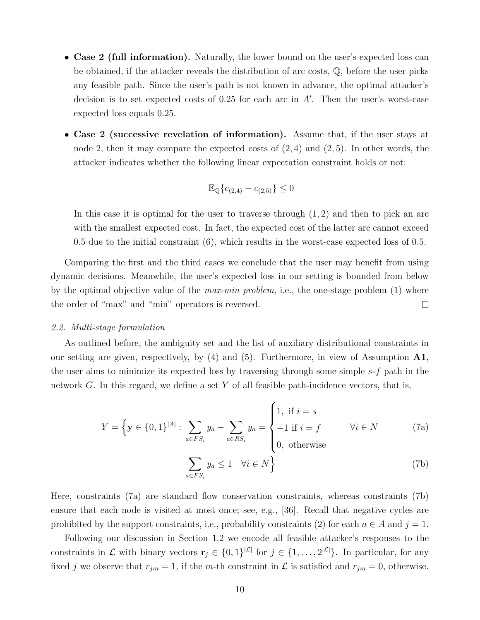- Case 2 (full information). Naturally, the lower bound on the user's expected loss can be obtained, if the attacker reveals the distribution of arc costs, Q, before the user picks any feasible path. Since the user's path is not known in advance, the optimal attacker's decision is to set expected costs of 0.25 for each arc in A′ . Then the user's worst-case expected loss equals 0.25.
- Case 2 (successive revelation of information). Assume that, if the user stays at node 2, then it may compare the expected costs of  $(2, 4)$  and  $(2, 5)$ . In other words, the attacker indicates whether the following linear expectation constraint holds or not:

$$
\mathbb{E}_{\mathbb{Q}}\{c_{(2,4)} - c_{(2,5)}\} \le 0
$$

In this case it is optimal for the user to traverse through  $(1, 2)$  and then to pick an arc with the smallest expected cost. In fact, the expected cost of the latter arc cannot exceed 0.5 due to the initial constraint (6), which results in the worst-case expected loss of 0.5.

Comparing the first and the third cases we conclude that the user may benefit from using dynamic decisions. Meanwhile, the user's expected loss in our setting is bounded from below by the optimal objective value of the *max-min problem*, i.e., the one-stage problem  $(1)$  where the order of "max" and "min" operators is reversed.

#### 2.2. Multi-stage formulation

As outlined before, the ambiguity set and the list of auxiliary distributional constraints in our setting are given, respectively, by  $(4)$  and  $(5)$ . Furthermore, in view of Assumption  $\mathbf{A1}$ , the user aims to minimize its expected loss by traversing through some simple s-f path in the network G. In this regard, we define a set Y of all feasible path-incidence vectors, that is,

$$
Y = \left\{ \mathbf{y} \in \{0, 1\}^{|A|} : \sum_{a \in FS_i} y_a - \sum_{a \in RS_i} y_a = \begin{cases} 1, & \text{if } i = s \\ -1 & \text{if } i = f \\ 0, & \text{otherwise} \end{cases} \right. \quad \forall i \in N \tag{7a}
$$

$$
\sum_{a \in FS_i} y_a \le 1 \quad \forall i \in N \right\}
$$

Here, constraints (7a) are standard flow conservation constraints, whereas constraints (7b) ensure that each node is visited at most once; see, e.g., [36]. Recall that negative cycles are prohibited by the support constraints, i.e., probability constraints (2) for each  $a \in A$  and  $j = 1$ .

Following our discussion in Section 1.2 we encode all feasible attacker's responses to the constraints in  $\mathcal L$  with binary vectors  $\mathbf r_j \in \{0,1\}^{|\mathcal L|}$  for  $j \in \{1,\ldots,2^{|\mathcal L|}\}$ . In particular, for any fixed j we observe that  $r_{jm} = 1$ , if the m-th constraint in  $\mathcal L$  is satisfied and  $r_{jm} = 0$ , otherwise.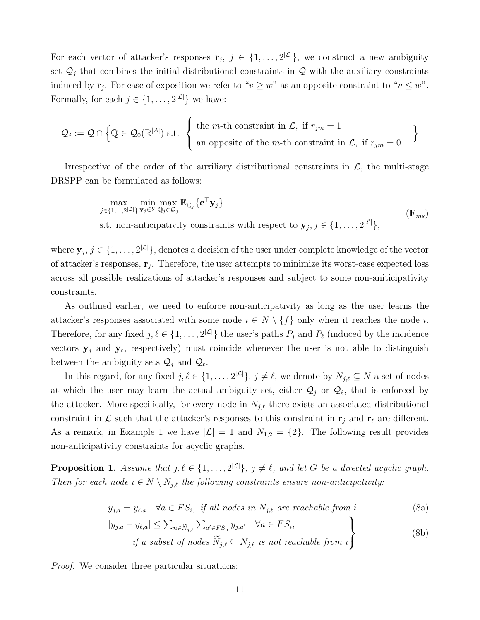For each vector of attacker's responses  $\mathbf{r}_j$ ,  $j \in \{1, \ldots, 2^{|\mathcal{L}|}\}\$ , we construct a new ambiguity set  $\mathcal{Q}_j$  that combines the initial distributional constraints in  $\mathcal Q$  with the auxiliary constraints induced by  $\mathbf{r}_j$ . For ease of exposition we refer to " $v \geq w$ " as an opposite constraint to " $v \leq w$ ". Formally, for each  $j \in \{1, \ldots, 2^{|\mathcal{L}|}\}\$  we have:

$$
\mathcal{Q}_j := \mathcal{Q} \cap \left\{ \mathbb{Q} \in \mathcal{Q}_0(\mathbb{R}^{|A|}) \text{ s.t. } \left\{ \begin{array}{l} \text{the } m\text{-th constraint in } \mathcal{L}, \text{ if } r_{jm} = 1 \\ \text{an opposite of the } m\text{-th constraint in } \mathcal{L}, \text{ if } r_{jm} = 0 \end{array} \right. \right\}
$$

Irrespective of the order of the auxiliary distributional constraints in  $\mathcal{L}$ , the multi-stage DRSPP can be formulated as follows:

$$
\max_{j \in \{1, \dots, 2^{|\mathcal{L}|}\}} \min_{\mathbf{y}_j \in Y} \max_{\mathbb{Q}_j \in \mathcal{Q}_j} \mathbb{E}_{\mathbb{Q}_j} \{ \mathbf{c}^\top \mathbf{y}_j \} \qquad (\mathbf{F}_{ms})
$$
\ns.t. non-anticipativity constraints with respect to  $\mathbf{y}_j, j \in \{1, \dots, 2^{|\mathcal{L}|}\},$ 

where  $y_j, j \in \{1, ..., 2^{|\mathcal{L}|}\},$  denotes a decision of the user under complete knowledge of the vector of attacker's responses,  $\mathbf{r}_j$ . Therefore, the user attempts to minimize its worst-case expected loss across all possible realizations of attacker's responses and subject to some non-aniticipativity constraints.

As outlined earlier, we need to enforce non-anticipativity as long as the user learns the attacker's responses associated with some node  $i \in N \setminus \{f\}$  only when it reaches the node i. Therefore, for any fixed  $j, \ell \in \{1, \ldots, 2^{|\mathcal{L}|}\}\)$  the user's paths  $P_j$  and  $P_\ell$  (induced by the incidence vectors  $y_j$  and  $y_\ell$ , respectively) must coincide whenever the user is not able to distinguish between the ambiguity sets  $\mathcal{Q}_j$  and  $\mathcal{Q}_l$ .

In this regard, for any fixed  $j, \ell \in \{1, \ldots, 2^{|\mathcal{L}|}\}, j \neq \ell$ , we denote by  $N_{j,\ell} \subseteq N$  a set of nodes at which the user may learn the actual ambiguity set, either  $\mathcal{Q}_j$  or  $\mathcal{Q}_\ell$ , that is enforced by the attacker. More specifically, for every node in  $N_{i,\ell}$  there exists an associated distributional constraint in  $\mathcal L$  such that the attacker's responses to this constraint in  $\mathbf r_i$  and  $\mathbf r_\ell$  are different. As a remark, in Example 1 we have  $|\mathcal{L}| = 1$  and  $N_{1,2} = \{2\}$ . The following result provides non-anticipativity constraints for acyclic graphs.

**Proposition 1.** Assume that  $j, \ell \in \{1, ..., 2^{|\mathcal{L}|}\}, j \neq \ell$ , and let G be a directed acyclic graph. Then for each node  $i \in N \setminus N_{j,\ell}$  the following constraints ensure non-anticipativity:

$$
y_{j,a} = y_{\ell,a} \quad \forall a \in FS_i, \text{ if all nodes in } N_{j,\ell} \text{ are reachable from } i
$$
 (8a)

$$
|y_{j,a} - y_{\ell,a}| \le \sum_{n \in \widetilde{N}_{j,\ell}} \sum_{a' \in FS_n} y_{j,a'} \quad \forall a \in FS_i,
$$
  
if a subset of nodes  $\widetilde{N}_{j,\ell} \subseteq N_{j,\ell}$  is not reachable from  $i$  (8b)

Proof. We consider three particular situations: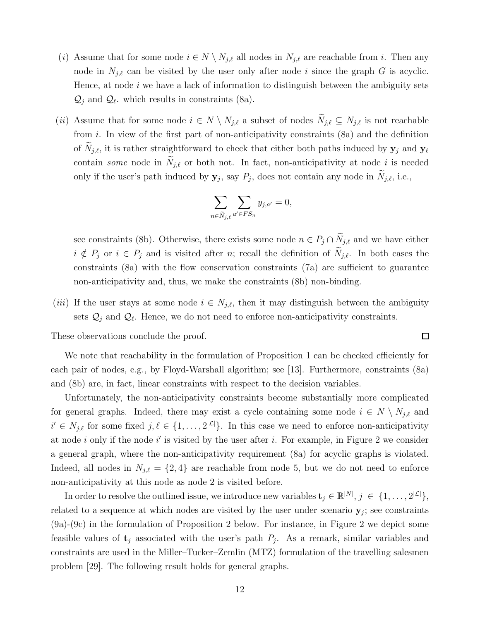- (i) Assume that for some node  $i \in N \setminus N_{j,\ell}$  all nodes in  $N_{j,\ell}$  are reachable from i. Then any node in  $N_{j,\ell}$  can be visited by the user only after node i since the graph G is acyclic. Hence, at node  $i$  we have a lack of information to distinguish between the ambiguity sets  $\mathcal{Q}_j$  and  $\mathcal{Q}_\ell$ , which results in constraints (8a).
- (ii) Assume that for some node  $i \in N \setminus N_{j,\ell}$  a subset of nodes  $N_{j,\ell} \subseteq N_{j,\ell}$  is not reachable from i. In view of the first part of non-anticipativity constraints (8a) and the definition of  $N_{j,\ell}$ , it is rather straightforward to check that either both paths induced by  $y_j$  and  $y_\ell$ contain some node in  $N_{j,\ell}$  or both not. In fact, non-anticipativity at node i is needed only if the user's path induced by  $y_j$ , say  $P_j$ , does not contain any node in  $N_{j,\ell}$ , i.e.,

$$
\sum_{n \in \widetilde{N}_{j,\ell}} \sum_{a' \in FS_n} y_{j,a'} = 0,
$$

see constraints (8b). Otherwise, there exists some node  $n \in P_j \cap \widetilde{N}_{j,\ell}$  and we have either  $i \notin P_j$  or  $i \in P_j$  and is visited after n; recall the definition of  $\widetilde{N}_{j,\ell}$ . In both cases the constraints (8a) with the flow conservation constraints (7a) are sufficient to guarantee non-anticipativity and, thus, we make the constraints (8b) non-binding.

 $\Box$ 

(iii) If the user stays at some node  $i \in N_{j,\ell}$ , then it may distinguish between the ambiguity sets  $\mathcal{Q}_j$  and  $\mathcal{Q}_\ell$ . Hence, we do not need to enforce non-anticipativity constraints.

These observations conclude the proof.

We note that reachability in the formulation of Proposition 1 can be checked efficiently for each pair of nodes, e.g., by Floyd-Warshall algorithm; see [13]. Furthermore, constraints (8a) and (8b) are, in fact, linear constraints with respect to the decision variables.

Unfortunately, the non-anticipativity constraints become substantially more complicated for general graphs. Indeed, there may exist a cycle containing some node  $i \in N \setminus N_{j,\ell}$  and  $i' \in N_{j,\ell}$  for some fixed  $j,\ell \in \{1,\ldots,2^{|\mathcal{L}|}\}\.$  In this case we need to enforce non-anticipativity at node i only if the node i' is visited by the user after i. For example, in Figure 2 we consider a general graph, where the non-anticipativity requirement (8a) for acyclic graphs is violated. Indeed, all nodes in  $N_{j,\ell} = \{2,4\}$  are reachable from node 5, but we do not need to enforce non-anticipativity at this node as node 2 is visited before.

In order to resolve the outlined issue, we introduce new variables  $\mathbf{t}_j \in \mathbb{R}^{|N|}, j \in \{1, \ldots, 2^{|\mathcal{L}|}\},$ related to a sequence at which nodes are visited by the user under scenario  $y_j$ ; see constraints (9a)-(9c) in the formulation of Proposition 2 below. For instance, in Figure 2 we depict some feasible values of  $t_j$  associated with the user's path  $P_j$ . As a remark, similar variables and constraints are used in the Miller–Tucker–Zemlin (MTZ) formulation of the travelling salesmen problem [29]. The following result holds for general graphs.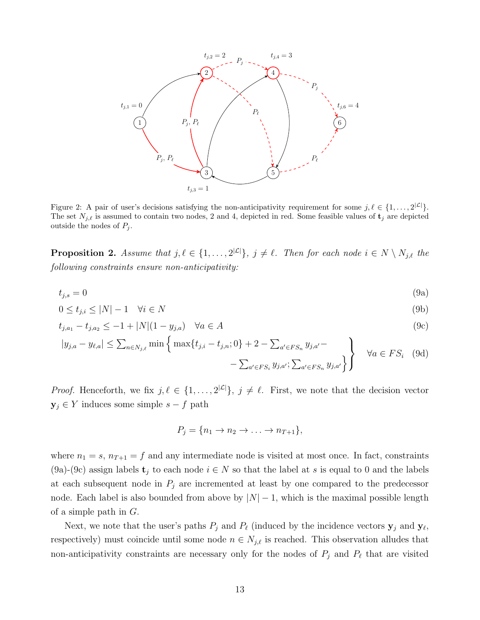

Figure 2: A pair of user's decisions satisfying the non-anticipativity requirement for some  $j, \ell \in \{1, ..., 2^{|\mathcal{L}|}\}.$ The set  $N_{j,\ell}$  is assumed to contain two nodes, 2 and 4, depicted in red. Some feasible values of  $\mathbf{t}_j$  are depicted outside the nodes of  $P_i$ .

**Proposition 2.** Assume that  $j, \ell \in \{1, ..., 2^{|\mathcal{L}|}\}, j \neq \ell$ . Then for each node  $i \in N \setminus N_{j,\ell}$  the following constraints ensure non-anticipativity:

$$
t_{j,s} = 0 \tag{9a}
$$

$$
0 \le t_{j,i} \le |N| - 1 \quad \forall i \in N \tag{9b}
$$

$$
t_{j,a_1} - t_{j,a_2} \le -1 + |N|(1 - y_{j,a}) \quad \forall a \in A
$$
\n(9c)

$$
|y_{j,a} - y_{\ell,a}| \le \sum_{n \in N_{j,\ell}} \min \left\{ \max \{ t_{j,i} - t_{j,n}; 0 \} + 2 - \sum_{a' \in FS_n} y_{j,a'} - \sum_{a' \in FS_n} y_{j,a'} \} \right\} \quad \forall a \in FS_i \quad (9d)
$$

*Proof.* Henceforth, we fix  $j, \ell \in \{1, ..., 2^{|\mathcal{L}|}\}, j \neq \ell$ . First, we note that the decision vector  $y_j \in Y$  induces some simple  $s - f$  path

$$
P_j = \{n_1 \to n_2 \to \ldots \to n_{T+1}\},\
$$

where  $n_1 = s$ ,  $n_{T+1} = f$  and any intermediate node is visited at most once. In fact, constraints (9a)-(9c) assign labels  $t_j$  to each node  $i \in N$  so that the label at s is equal to 0 and the labels at each subsequent node in  $P_j$  are incremented at least by one compared to the predecessor node. Each label is also bounded from above by  $|N| - 1$ , which is the maximal possible length of a simple path in  $G$ .

Next, we note that the user's paths  $P_j$  and  $P_\ell$  (induced by the incidence vectors  $y_j$  and  $y_\ell$ , respectively) must coincide until some node  $n \in N_{j,\ell}$  is reached. This observation alludes that non-anticipativity constraints are necessary only for the nodes of  $P_j$  and  $P_\ell$  that are visited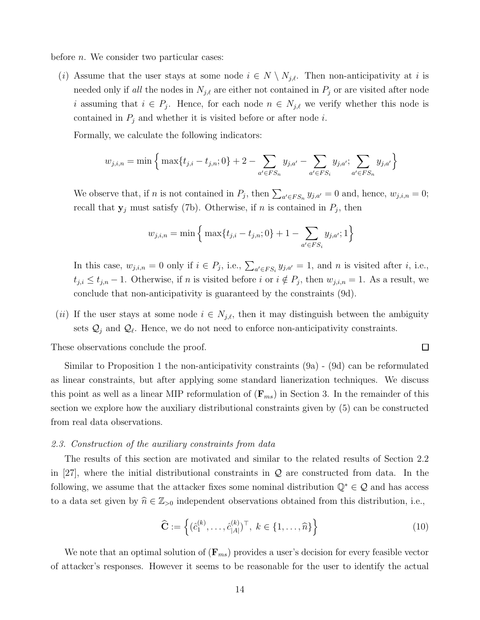before *n*. We consider two particular cases:

(i) Assume that the user stays at some node  $i \in N \setminus N_{j,\ell}$ . Then non-anticipativity at i is needed only if all the nodes in  $N_{j,\ell}$  are either not contained in  $P_j$  or are visited after node i assuming that  $i \in P_j$ . Hence, for each node  $n \in N_{j,\ell}$  we verify whether this node is contained in  $P_j$  and whether it is visited before or after node i.

Formally, we calculate the following indicators:

$$
w_{j,i,n} = \min\Big\{\max\{t_{j,i} - t_{j,n}; 0\} + 2 - \sum_{a' \in FS_n} y_{j,a'} - \sum_{a' \in FS_i} y_{j,a'}; \sum_{a' \in FS_n} y_{j,a'}\Big\}
$$

We observe that, if *n* is not contained in  $P_j$ , then  $\sum_{a' \in FS_n} y_{j,a'} = 0$  and, hence,  $w_{j,i,n} = 0$ ; recall that  $y_j$  must satisfy (7b). Otherwise, if n is contained in  $P_j$ , then

$$
w_{j,i,n} = \min\left\{\max\{t_{j,i} - t_{j,n}; 0\} + 1 - \sum_{a' \in FS_i} y_{j,a'}; 1\right\}
$$

In this case,  $w_{j,i,n} = 0$  only if  $i \in P_j$ , i.e.,  $\sum_{a' \in FS_i} y_{j,a'} = 1$ , and n is visited after i, i.e.,  $t_{j,i} \leq t_{j,n} - 1$ . Otherwise, if n is visited before i or  $i \notin P_j$ , then  $w_{j,i,n} = 1$ . As a result, we conclude that non-anticipativity is guaranteed by the constraints (9d).

(ii) If the user stays at some node  $i \in N_{j,\ell}$ , then it may distinguish between the ambiguity sets  $\mathcal{Q}_j$  and  $\mathcal{Q}_\ell$ . Hence, we do not need to enforce non-anticipativity constraints.

These observations conclude the proof.

Similar to Proposition 1 the non-anticipativity constraints (9a) - (9d) can be reformulated as linear constraints, but after applying some standard lianerization techniques. We discuss this point as well as a linear MIP reformulation of  $(\mathbf{F}_{ms})$  in Section 3. In the remainder of this section we explore how the auxiliary distributional constraints given by (5) can be constructed from real data observations.

## 2.3. Construction of the auxiliary constraints from data

The results of this section are motivated and similar to the related results of Section 2.2 in [27], where the initial distributional constraints in  $\mathcal Q$  are constructed from data. In the following, we assume that the attacker fixes some nominal distribution  $\mathbb{Q}^* \in \mathcal{Q}$  and has access to a data set given by  $\hat{n} \in \mathbb{Z}_{>0}$  independent observations obtained from this distribution, i.e.,

$$
\widehat{\mathbf{C}} := \left\{ (\hat{c}_1^{(k)}, \dots, \hat{c}_{|A|}^{(k)})^\top, \ k \in \{1, \dots, \widehat{n}\} \right\}
$$
(10)

 $\Box$ 

We note that an optimal solution of  $(\mathbf{F}_{ms})$  provides a user's decision for every feasible vector of attacker's responses. However it seems to be reasonable for the user to identify the actual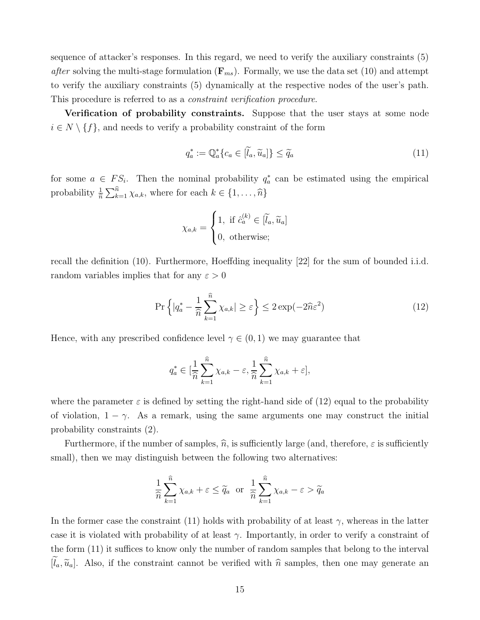sequence of attacker's responses. In this regard, we need to verify the auxiliary constraints (5) after solving the multi-stage formulation  $(\mathbf{F}_{ms})$ . Formally, we use the data set (10) and attempt to verify the auxiliary constraints (5) dynamically at the respective nodes of the user's path. This procedure is referred to as a *constraint verification procedure*.

Verification of probability constraints. Suppose that the user stays at some node  $i \in N \setminus \{f\}$ , and needs to verify a probability constraint of the form

$$
q_a^* := \mathbb{Q}_a^* \{ c_a \in [\tilde{l}_a, \tilde{u}_a] \} \le \tilde{q}_a \tag{11}
$$

for some  $a \in FS_i$ . Then the nominal probability  $q_a^*$  can be estimated using the empirical probability  $\frac{1}{\hat{n}}\sum_{k=1}^{\hat{n}} \chi_{a,k}$ , where for each  $k \in \{1, \ldots, \hat{n}\}$ 

$$
\chi_{a,k} = \begin{cases} 1, & \text{if } \hat{c}_a^{(k)} \in [\tilde{l}_a, \tilde{u}_a] \\ 0, & \text{otherwise}; \end{cases}
$$

recall the definition (10). Furthermore, Hoeffding inequality [22] for the sum of bounded i.i.d. random variables implies that for any  $\varepsilon > 0$ 

$$
\Pr\left\{|q_a^* - \frac{1}{\hat{n}}\sum_{k=1}^{\hat{n}}\chi_{a,k}| \ge \varepsilon\right\} \le 2\exp(-2\hat{n}\varepsilon^2)
$$
\n(12)

Hence, with any prescribed confidence level  $\gamma \in (0,1)$  we may guarantee that

$$
q_a^* \in [\frac{1}{\widehat{n}} \sum_{k=1}^{\widehat{n}} \chi_{a,k} - \varepsilon, \frac{1}{\widehat{n}} \sum_{k=1}^{\widehat{n}} \chi_{a,k} + \varepsilon],
$$

where the parameter  $\varepsilon$  is defined by setting the right-hand side of (12) equal to the probability of violation,  $1 - \gamma$ . As a remark, using the same arguments one may construct the initial probability constraints (2).

Furthermore, if the number of samples,  $\hat{n}$ , is sufficiently large (and, therefore,  $\varepsilon$  is sufficiently small), then we may distinguish between the following two alternatives:

$$
\frac{1}{\widehat{n}}\sum_{k=1}^{\widehat{n}}\chi_{a,k} + \varepsilon \le \widetilde{q}_a \text{ or } \frac{1}{\widehat{n}}\sum_{k=1}^{\widehat{n}}\chi_{a,k} - \varepsilon > \widetilde{q}_a
$$

In the former case the constraint (11) holds with probability of at least  $\gamma$ , whereas in the latter case it is violated with probability of at least  $\gamma$ . Importantly, in order to verify a constraint of the form (11) it suffices to know only the number of random samples that belong to the interval  $[\tilde{l}_a, \tilde{u}_a]$ . Also, if the constraint cannot be verified with  $\hat{n}$  samples, then one may generate an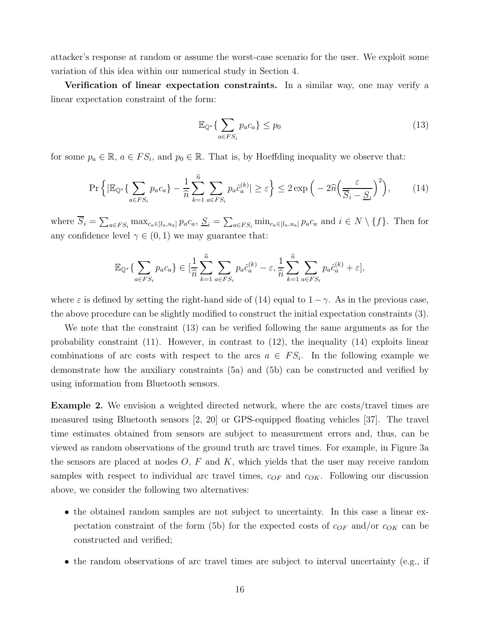attacker's response at random or assume the worst-case scenario for the user. We exploit some variation of this idea within our numerical study in Section 4.

Verification of linear expectation constraints. In a similar way, one may verify a linear expectation constraint of the form:

$$
\mathbb{E}_{\mathbb{Q}^*} \{ \sum_{a \in FS_i} p_a c_a \} \le p_0 \tag{13}
$$

for some  $p_a \in \mathbb{R}$ ,  $a \in FS_i$ , and  $p_0 \in \mathbb{R}$ . That is, by Hoeffding inequality we observe that:

$$
\Pr\left\{|\mathbb{E}_{\mathbb{Q}^*}\{\sum_{a\in FS_i}p_a c_a\} - \frac{1}{\hat{n}}\sum_{k=1}^{\hat{n}}\sum_{a\in FS_i}p_a \hat{c}_a^{(k)}| \ge \varepsilon\right\} \le 2\exp\left(-2\hat{n}\left(\frac{\varepsilon}{\overline{S}_i - \underline{S}_i}\right)^2\right),\tag{14}
$$

where  $\overline{S}_i = \sum_{a \in FS_i} \max_{c_a \in [l_a, u_a]} p_a c_a$ ,  $\underline{S}_i = \sum_{a \in FS_i} \min_{c_a \in [l_a, u_a]} p_a c_a$  and  $i \in N \setminus \{f\}$ . Then for any confidence level  $\gamma \in (0,1)$  we may guarantee that:

$$
\mathbb{E}_{\mathbb{Q}^*}\{\sum_{a\in FS_i}p_a c_a\}\in[\frac{1}{\widehat{n}}\sum_{k=1}^{\widehat{n}}\sum_{a\in FS_i}p_a\widehat{c}_a^{(k)}-\varepsilon,\frac{1}{\widehat{n}}\sum_{k=1}^{\widehat{n}}\sum_{a\in FS_i}p_a\widehat{c}_a^{(k)}+\varepsilon],
$$

where  $\varepsilon$  is defined by setting the right-hand side of (14) equal to  $1-\gamma$ . As in the previous case, the above procedure can be slightly modified to construct the initial expectation constraints (3).

We note that the constraint (13) can be verified following the same arguments as for the probability constraint  $(11)$ . However, in contrast to  $(12)$ , the inequality  $(14)$  exploits linear combinations of arc costs with respect to the arcs  $a \in FS_i$ . In the following example we demonstrate how the auxiliary constraints (5a) and (5b) can be constructed and verified by using information from Bluetooth sensors.

Example 2. We envision a weighted directed network, where the arc costs/travel times are measured using Bluetooth sensors [2, 20] or GPS-equipped floating vehicles [37]. The travel time estimates obtained from sensors are subject to measurement errors and, thus, can be viewed as random observations of the ground truth arc travel times. For example, in Figure 3a the sensors are placed at nodes  $O, F$  and K, which yields that the user may receive random samples with respect to individual arc travel times,  $c_{OF}$  and  $c_{OK}$ . Following our discussion above, we consider the following two alternatives:

- the obtained random samples are not subject to uncertainty. In this case a linear expectation constraint of the form (5b) for the expected costs of  $c_{OF}$  and/or  $c_{OK}$  can be constructed and verified;
- the random observations of arc travel times are subject to interval uncertainty (e.g., if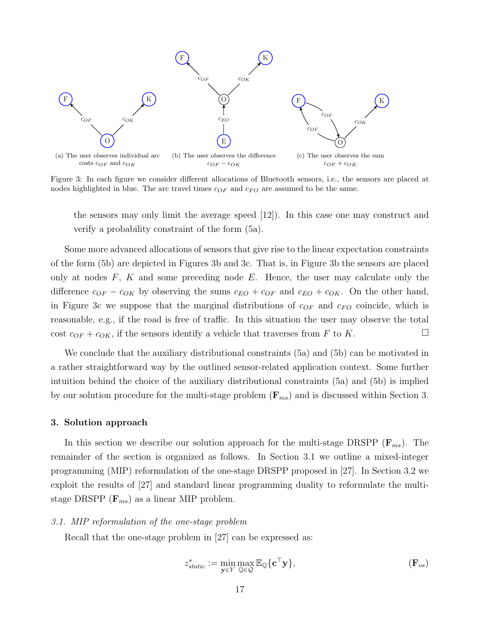

Figure 3: In each figure we consider different allocations of Bluetooth sensors, i.e., the sensors are placed at nodes highlighted in blue. The arc travel times  $c_{OF}$  and  $c_{FO}$  are assumed to be the same.

the sensors may only limit the average speed [12]). In this case one may construct and verify a probability constraint of the form (5a).

Some more advanced allocations of sensors that give rise to the linear expectation constraints of the form (5b) are depicted in Figures 3b and 3c. That is, in Figure 3b the sensors are placed only at nodes  $F$ ,  $K$  and some preceding node  $E$ . Hence, the user may calculate only the difference  $c_{OF} - c_{OK}$  by observing the sums  $c_{EO} + c_{OF}$  and  $c_{EO} + c_{OK}$ . On the other hand, in Figure 3c we suppose that the marginal distributions of  $c_{OF}$  and  $c_{FO}$  coincide, which is reasonable, e.g., if the road is free of traffic. In this situation the user may observe the total cost  $c_{OF} + c_{OK}$ , if the sensors identify a vehicle that traverses from F to K.

We conclude that the auxiliary distributional constraints (5a) and (5b) can be motivated in a rather straightforward way by the outlined sensor-related application context. Some further intuition behind the choice of the auxiliary distributional constraints (5a) and (5b) is implied by our solution procedure for the multi-stage problem  $(\mathbf{F}_{ms})$  and is discussed within Section 3.

#### 3. Solution approach

In this section we describe our solution approach for the multi-stage DRSPP  $(\mathbf{F}_{ms})$ . The remainder of the section is organized as follows. In Section 3.1 we outline a mixed-integer programming (MIP) reformulation of the one-stage DRSPP proposed in [27]. In Section 3.2 we exploit the results of [27] and standard linear programming duality to reformulate the multistage DRSPP  $(\mathbf{F}_{ms})$  as a linear MIP problem.

#### 3.1. MIP reformulation of the one-stage problem

Recall that the one-stage problem in [27] can be expressed as:

$$
z_{static}^* := \min_{\mathbf{y} \in Y} \max_{\mathbb{Q} \in \mathcal{Q}} \mathbb{E}_{\mathbb{Q}} \{ \mathbf{c}^\top \mathbf{y} \},
$$
\n
$$
(\mathbf{F}_{os})
$$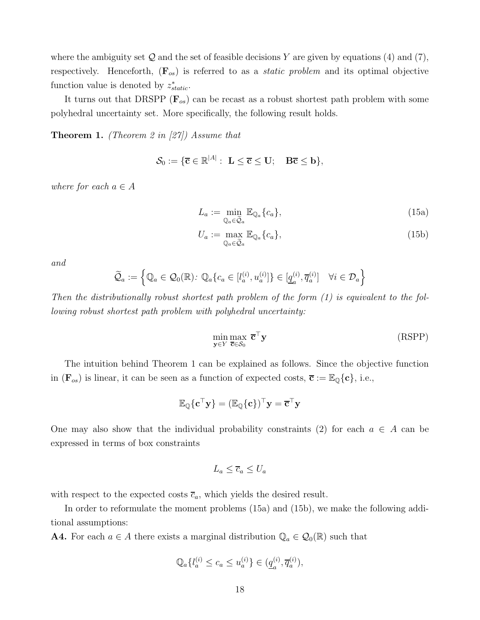where the ambiguity set  $\mathcal Q$  and the set of feasible decisions Y are given by equations (4) and (7), respectively. Henceforth,  $(\mathbf{F}_{os})$  is referred to as a *static problem* and its optimal objective function value is denoted by  $z_{static}^*$ .

It turns out that DRSPP  $(\mathbf{F}_{os})$  can be recast as a robust shortest path problem with some polyhedral uncertainty set. More specifically, the following result holds.

**Theorem 1.** (Theorem 2 in [27]) Assume that

$$
\mathcal{S}_0 := \{ \overline{\mathbf{c}} \in \mathbb{R}^{|A|} : \mathbf{L} \leq \overline{\mathbf{c}} \leq \mathbf{U}; \quad \mathbf{B} \overline{\mathbf{c}} \leq \mathbf{b} \},
$$

where for each  $a \in A$ 

$$
L_a := \min_{\mathbb{Q}_a \in \widetilde{\mathcal{Q}}_a} \mathbb{E}_{\mathbb{Q}_a} \{c_a\},\tag{15a}
$$

$$
U_a := \max_{\mathbb{Q}_a \in \widetilde{\mathcal{Q}}_a} \mathbb{E}_{\mathbb{Q}_a} \{c_a\},\tag{15b}
$$

and

$$
\widetilde{\mathcal{Q}}_a:=\left\{\mathbb{Q}_a\in\mathcal{Q}_0(\mathbb{R})\colon \mathbb{Q}_a\{c_a\in[l^{(i)}_a,u^{(i)}_a]\}\in[\underline{q}^{(i)}_a,\overline{q}^{(i)}_a]\quad\forall i\in\mathcal{D}_a\right\}
$$

Then the distributionally robust shortest path problem of the form (1) is equivalent to the following robust shortest path problem with polyhedral uncertainty:

$$
\min_{\mathbf{y} \in Y} \max_{\overline{\mathbf{c}} \in \mathcal{S}_0} \overline{\mathbf{c}}^{\mathsf{T}} \mathbf{y} \tag{RSPP}
$$

The intuition behind Theorem 1 can be explained as follows. Since the objective function in  $(\mathbf{F}_{os})$  is linear, it can be seen as a function of expected costs,  $\overline{\mathbf{c}} := \mathbb{E}_{\mathbb{Q}}\{\mathbf{c}\}\,$ , i.e.,

$$
\mathbb{E}_{\mathbb{Q}}\{\mathbf{c}^{\top}\mathbf{y}\}=(\mathbb{E}_{\mathbb{Q}}\{\mathbf{c}\})^{\top}\mathbf{y}=\overline{\mathbf{c}}^{\top}\mathbf{y}
$$

One may also show that the individual probability constraints (2) for each  $a \in A$  can be expressed in terms of box constraints

$$
L_a \leq \overline{c}_a \leq U_a
$$

with respect to the expected costs  $\overline{c}_a$ , which yields the desired result.

In order to reformulate the moment problems (15a) and (15b), we make the following additional assumptions:

**A4.** For each  $a \in A$  there exists a marginal distribution  $\mathbb{Q}_a \in \mathcal{Q}_0(\mathbb{R})$  such that

$$
\mathbb{Q}_{a}\{l_{a}^{(i)} \le c_{a} \le u_{a}^{(i)}\} \in (\underline{q}_{a}^{(i)}, \overline{q}_{a}^{(i)}),
$$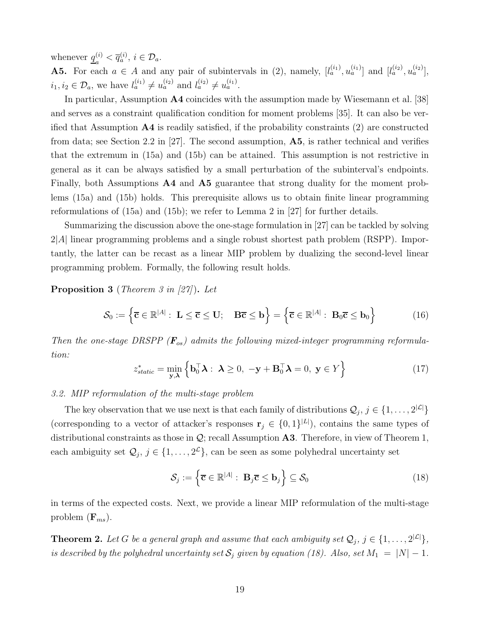whenever  $q_i^{(i)}$  $\overline{q}_a^{(i)} < \overline{q}_a^{(i)}, i \in \mathcal{D}_a.$ 

**A5.** For each  $a \in A$  and any pair of subintervals in (2), namely,  $[l_a^{(i_1)}, u_a^{(i_1)}]$  and  $[l_a^{(i_2)}, u_a^{(i_2)}]$ ,  $i_1, i_2 \in \mathcal{D}_a$ , we have  $l_a^{(i_1)} \neq u_a^{(i_2)}$  and  $l_a^{(i_2)} \neq u_a^{(i_1)}$ .

In particular, Assumption A4 coincides with the assumption made by Wiesemann et al. [38] and serves as a constraint qualification condition for moment problems [35]. It can also be verified that Assumption  $\mathbf{A4}$  is readily satisfied, if the probability constraints (2) are constructed from data; see Section 2.2 in [27]. The second assumption,  $\mathbf{A5}$ , is rather technical and verifies that the extremum in (15a) and (15b) can be attained. This assumption is not restrictive in general as it can be always satisfied by a small perturbation of the subinterval's endpoints. Finally, both Assumptions A4 and A5 guarantee that strong duality for the moment problems (15a) and (15b) holds. This prerequisite allows us to obtain finite linear programming reformulations of (15a) and (15b); we refer to Lemma 2 in [27] for further details.

Summarizing the discussion above the one-stage formulation in [27] can be tackled by solving 2|A| linear programming problems and a single robust shortest path problem (RSPP). Importantly, the latter can be recast as a linear MIP problem by dualizing the second-level linear programming problem. Formally, the following result holds.

Proposition 3 (Theorem 3 in [27]). Let

$$
\mathcal{S}_0 := \left\{ \overline{\mathbf{c}} \in \mathbb{R}^{|A|} : \ \mathbf{L} \leq \overline{\mathbf{c}} \leq \mathbf{U}; \quad \mathbf{B}\overline{\mathbf{c}} \leq \mathbf{b} \right\} = \left\{ \overline{\mathbf{c}} \in \mathbb{R}^{|A|} : \ \mathbf{B}_0\overline{\mathbf{c}} \leq \mathbf{b}_0 \right\} \tag{16}
$$

Then the one-stage DRSPP  $(F_{os})$  admits the following mixed-integer programming reformulation:

$$
z_{static}^{*} = \min_{\mathbf{y}, \lambda} \left\{ \mathbf{b}_{0}^{\top} \mathbf{\lambda} : \ \mathbf{\lambda} \ge 0, \ -\mathbf{y} + \mathbf{B}_{0}^{\top} \mathbf{\lambda} = 0, \ \mathbf{y} \in Y \right\}
$$
(17)

# 3.2. MIP reformulation of the multi-stage problem

The key observation that we use next is that each family of distributions  $\mathcal{Q}_j$ ,  $j \in \{1, \ldots, 2^{|\mathcal{L}|}\}\$ (corresponding to a vector of attacker's responses  $\mathbf{r}_j \in \{0,1\}^{|L|}$ ), contains the same types of distributional constraints as those in  $\mathcal{Q}$ ; recall Assumption A3. Therefore, in view of Theorem 1, each ambiguity set  $\mathcal{Q}_j$ ,  $j \in \{1, \ldots, 2^{\mathcal{L}}\}$ , can be seen as some polyhedral uncertainty set

$$
\mathcal{S}_j := \left\{ \overline{\mathbf{c}} \in \mathbb{R}^{|A|} : \ \mathbf{B}_j \overline{\mathbf{c}} \le \mathbf{b}_j \right\} \subseteq \mathcal{S}_0 \tag{18}
$$

in terms of the expected costs. Next, we provide a linear MIP reformulation of the multi-stage problem  $(\mathbf{F}_{ms})$ .

**Theorem 2.** Let G be a general graph and assume that each ambiguity set  $\mathcal{Q}_j$ ,  $j \in \{1, \ldots, 2^{|\mathcal{L}|}\},$ is described by the polyhedral uncertainty set  $S_j$  given by equation (18). Also, set  $M_1 = |N| - 1$ .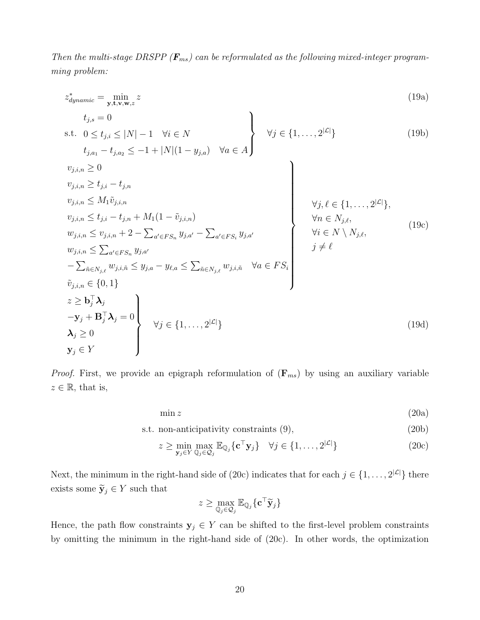Then the multi-stage DRSPP ( $\mathbf{F}_{ms}$ ) can be reformulated as the following mixed-integer programming problem:

$$
z_{dynamic}^{*} = \min_{\mathbf{y}, \mathbf{t}, \mathbf{v}, \mathbf{w}, z} z
$$
\n
$$
t_{j,s} = 0
$$
\n
$$
s.t. \quad 0 \le t_{j,i} \le |N| - 1 \quad \forall i \in N
$$
\n
$$
t_{j,a_1} - t_{j,a_2} \le -1 + |N|(1 - y_{j,a}) \quad \forall a \in A
$$
\n
$$
v_{j,i,n} \ge 0
$$
\n
$$
v_{j,i,n} \ge t_{j,i} - t_{j,n}
$$
\n
$$
v_{j,i,n} \le t_{j,i} - t_{j,n}
$$
\n
$$
v_{j,i,n} \le t_{j,i} - t_{j,n} + M_1(1 - \tilde{v}_{j,i,n})
$$
\n
$$
v_{j,i,n} \le t_{j,i} - t_{j,n} + M_1(1 - \tilde{v}_{j,i,n})
$$
\n
$$
w_{j,i,n} \le v_{j,i,n} + 2 - \sum_{a' \in FS_n} y_{j,a'} - \sum_{a' \in FS_i} y_{j,a'}
$$
\n
$$
v_{j,i,n} \le \sum_{a' \in FS_n} y_{j,a'}
$$
\n
$$
- \sum_{\tilde{n} \in N_{j,\ell}} w_{j,i,\tilde{n}} \le y_{j,a} - y_{\ell,a} \le \sum_{\tilde{n} \in N_{j,\ell}} w_{j,i,\tilde{n}} \quad \forall a \in FS_i
$$
\n
$$
\tilde{v} \in N \setminus N_j, \qquad j \ne \ell
$$
\n
$$
v_{j,i,n} \in \{0, 1\}
$$
\n
$$
z \ge b_j^T \lambda_j
$$
\n
$$
- \mathbf{y}_j + \mathbf{B}_j^T \lambda_j = 0
$$
\n
$$
\lambda_j \ge 0
$$
\n
$$
\mathbf{y}_j \in Y
$$
\n(19d)

*Proof.* First, we provide an epigraph reformulation of  $(\mathbf{F}_{ms})$  by using an auxiliary variable  $z \in \mathbb{R}$ , that is,

 $\min z$  (20a)

s.t. non-anticipativity constraints (9), (20b)

$$
z \ge \min_{\mathbf{y}_j \in Y} \max_{\mathbb{Q}_j \in \mathcal{Q}_j} \mathbb{E}_{\mathbb{Q}_j} \{ \mathbf{c}^\top \mathbf{y}_j \} \quad \forall j \in \{1, \dots, 2^{|\mathcal{L}|} \}
$$
(20c)

Next, the minimum in the right-hand side of (20c) indicates that for each  $j \in \{1, \ldots, 2^{|\mathcal{L}|}\}\)$  there exists some  $\widetilde{\mathbf{y}}_j \in Y$  such that

$$
z \geq \max_{\mathbb{Q}_j \in \mathcal{Q}_j} \mathbb{E}_{\mathbb{Q}_j} \{ \mathbf{c}^\top \widetilde{\mathbf{y}}_j \}
$$

Hence, the path flow constraints  $y_j \in Y$  can be shifted to the first-level problem constraints by omitting the minimum in the right-hand side of (20c). In other words, the optimization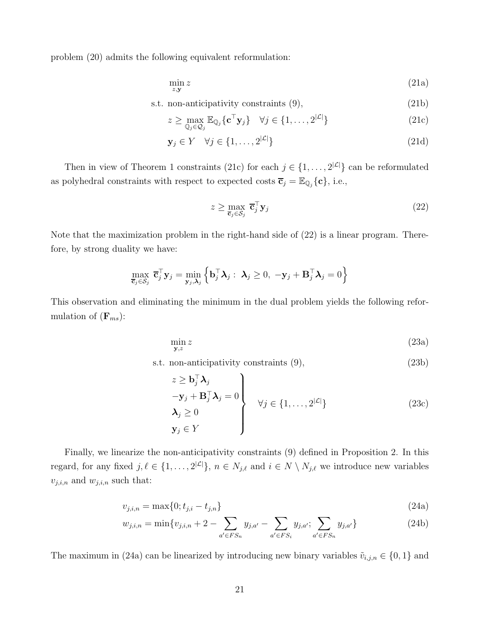problem (20) admits the following equivalent reformulation:

$$
\min_{z, \mathbf{y}} z \tag{21a}
$$

s.t. non-anticipativity constraints (9), (21b)

$$
z \ge \max_{\mathbb{Q}_j \in \mathcal{Q}_j} \mathbb{E}_{\mathbb{Q}_j} \{ \mathbf{c}^\top \mathbf{y}_j \} \quad \forall j \in \{1, \dots, 2^{|\mathcal{L}|} \}
$$
(21c)

$$
\mathbf{y}_j \in Y \quad \forall j \in \{1, \dots, 2^{|\mathcal{L}|}\}\tag{21d}
$$

Then in view of Theorem 1 constraints (21c) for each  $j \in \{1, \ldots, 2^{|\mathcal{L}|}\}\)$  can be reformulated as polyhedral constraints with respect to expected costs  $\overline{\mathbf{c}}_j = \mathbb{E}_{\mathbb{Q}_j} \{\mathbf{c}\},\$  i.e.,

$$
z \ge \max_{\overline{\mathbf{c}}_j \in \mathcal{S}_j} \overline{\mathbf{c}}_j^{\top} \mathbf{y}_j
$$
 (22)

Note that the maximization problem in the right-hand side of (22) is a linear program. Therefore, by strong duality we have:

$$
\max_{\overline{\mathbf{c}}_j \in \mathcal{S}_j} \overline{\mathbf{c}}_j^{\top} \mathbf{y}_j = \min_{\mathbf{y}_j, \lambda_j} \left\{ \mathbf{b}_j^{\top} \lambda_j : \ \lambda_j \geq 0, \ -\mathbf{y}_j + \mathbf{B}_j^{\top} \lambda_j = 0 \right\}
$$

This observation and eliminating the minimum in the dual problem yields the following reformulation of  $(\mathbf{F}_{ms})$ :

$$
\min_{\mathbf{y},z} z \tag{23a}
$$

s.t. non-anticipativity constraints (9), (23b)

$$
z \ge \mathbf{b}_j^{\top} \mathbf{\lambda}_j
$$
  
\n
$$
-\mathbf{y}_j + \mathbf{B}_j^{\top} \mathbf{\lambda}_j = 0
$$
  
\n
$$
\mathbf{\lambda}_j \ge 0
$$
  
\n
$$
\mathbf{y}_j \in Y
$$
  
\n
$$
\left\{\n\begin{aligned}\n\forall j \in \{1, \dots, 2^{|\mathcal{L}|}\} \\
\forall j \in \{1, \dots, 2^{|\mathcal{L}|}\}\n\end{aligned}\n\right.
$$
\n(23c)

Finally, we linearize the non-anticipativity constraints (9) defined in Proposition 2. In this regard, for any fixed  $j, \ell \in \{1, \ldots, 2^{|\mathcal{L}|}\}, n \in N_{j,\ell}$  and  $i \in N \setminus N_{j,\ell}$  we introduce new variables  $v_{j,i,n}$  and  $w_{j,i,n}$  such that:

$$
v_{j,i,n} = \max\{0; t_{j,i} - t_{j,n}\}\tag{24a}
$$

$$
w_{j,i,n} = \min\{v_{j,i,n} + 2 - \sum_{a' \in FS_n} y_{j,a'} - \sum_{a' \in FS_i} y_{j,a'}; \sum_{a' \in FS_n} y_{j,a'}\}\
$$
(24b)

The maximum in (24a) can be linearized by introducing new binary variables  $\tilde{v}_{i,j,n} \in \{0,1\}$  and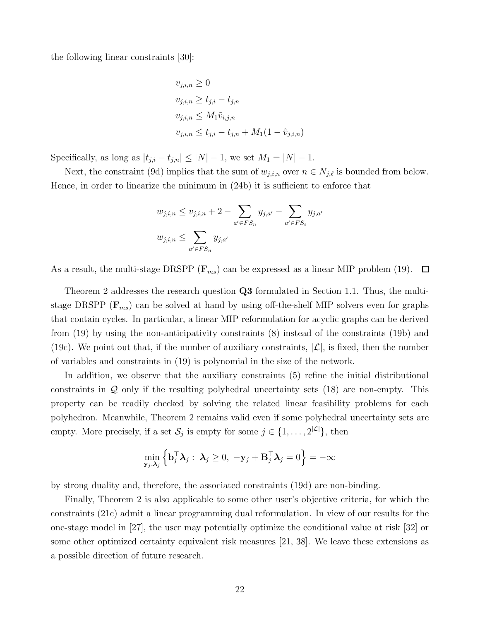the following linear constraints [30]:

$$
v_{j,i,n} \ge 0
$$
  
\n
$$
v_{j,i,n} \ge t_{j,i} - t_{j,n}
$$
  
\n
$$
v_{j,i,n} \le M_1 \tilde{v}_{i,j,n}
$$
  
\n
$$
v_{j,i,n} \le t_{j,i} - t_{j,n} + M_1(1 - \tilde{v}_{j,i,n})
$$

Specifically, as long as  $|t_{j,i} - t_{j,n}| \leq |N| - 1$ , we set  $M_1 = |N| - 1$ .

Next, the constraint (9d) implies that the sum of  $w_{j,i,n}$  over  $n \in N_{j,\ell}$  is bounded from below. Hence, in order to linearize the minimum in (24b) it is sufficient to enforce that

$$
w_{j,i,n} \le v_{j,i,n} + 2 - \sum_{a' \in FS_n} y_{j,a'} - \sum_{a' \in FS_i} y_{j,a'}
$$
  

$$
w_{j,i,n} \le \sum_{a' \in FS_n} y_{j,a'}
$$

As a result, the multi-stage DRSPP ( $\mathbf{F}_{ms}$ ) can be expressed as a linear MIP problem (19).  $\Box$ 

Theorem 2 addresses the research question Q3 formulated in Section 1.1. Thus, the multistage DRSPP ( $\mathbf{F}_{ms}$ ) can be solved at hand by using off-the-shelf MIP solvers even for graphs that contain cycles. In particular, a linear MIP reformulation for acyclic graphs can be derived from (19) by using the non-anticipativity constraints (8) instead of the constraints (19b) and (19c). We point out that, if the number of auxiliary constraints,  $|\mathcal{L}|$ , is fixed, then the number of variables and constraints in (19) is polynomial in the size of the network.

In addition, we observe that the auxiliary constraints (5) refine the initial distributional constraints in Q only if the resulting polyhedral uncertainty sets (18) are non-empty. This property can be readily checked by solving the related linear feasibility problems for each polyhedron. Meanwhile, Theorem 2 remains valid even if some polyhedral uncertainty sets are empty. More precisely, if a set  $S_j$  is empty for some  $j \in \{1, \ldots, 2^{|\mathcal{L}|}\},\$  then

$$
\min_{\mathbf{y}_j, \boldsymbol{\lambda}_j} \left\{ \mathbf{b}_j^{\top} \boldsymbol{\lambda}_j : \ \boldsymbol{\lambda}_j \geq 0, \ -\mathbf{y}_j + \mathbf{B}_j^{\top} \boldsymbol{\lambda}_j = 0 \right\} = -\infty
$$

by strong duality and, therefore, the associated constraints (19d) are non-binding.

Finally, Theorem 2 is also applicable to some other user's objective criteria, for which the constraints (21c) admit a linear programming dual reformulation. In view of our results for the one-stage model in [27], the user may potentially optimize the conditional value at risk [32] or some other optimized certainty equivalent risk measures [21, 38]. We leave these extensions as a possible direction of future research.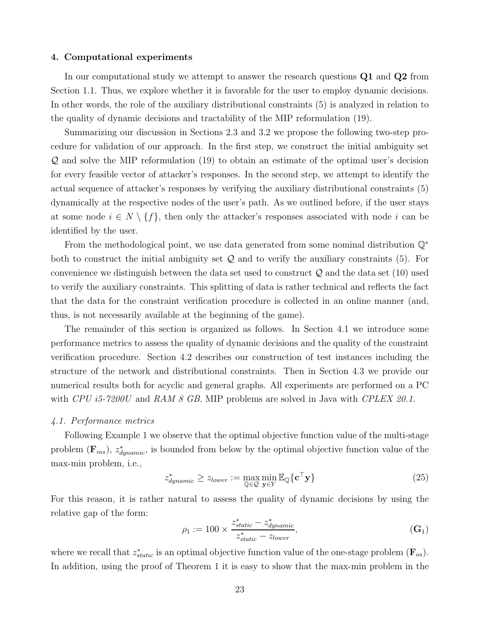#### 4. Computational experiments

In our computational study we attempt to answer the research questions Q1 and Q2 from Section 1.1. Thus, we explore whether it is favorable for the user to employ dynamic decisions. In other words, the role of the auxiliary distributional constraints (5) is analyzed in relation to the quality of dynamic decisions and tractability of the MIP reformulation (19).

Summarizing our discussion in Sections 2.3 and 3.2 we propose the following two-step procedure for validation of our approach. In the first step, we construct the initial ambiguity set Q and solve the MIP reformulation (19) to obtain an estimate of the optimal user's decision for every feasible vector of attacker's responses. In the second step, we attempt to identify the actual sequence of attacker's responses by verifying the auxiliary distributional constraints (5) dynamically at the respective nodes of the user's path. As we outlined before, if the user stays at some node  $i \in N \setminus \{f\}$ , then only the attacker's responses associated with node i can be identified by the user.

From the methodological point, we use data generated from some nominal distribution Q<sup>∗</sup> both to construct the initial ambiguity set  $\mathcal Q$  and to verify the auxiliary constraints (5). For convenience we distinguish between the data set used to construct  $\mathcal Q$  and the data set (10) used to verify the auxiliary constraints. This splitting of data is rather technical and reflects the fact that the data for the constraint verification procedure is collected in an online manner (and, thus, is not necessarily available at the beginning of the game).

The remainder of this section is organized as follows. In Section 4.1 we introduce some performance metrics to assess the quality of dynamic decisions and the quality of the constraint verification procedure. Section 4.2 describes our construction of test instances including the structure of the network and distributional constraints. Then in Section 4.3 we provide our numerical results both for acyclic and general graphs. All experiments are performed on a PC with CPU i5-7200U and RAM 8 GB. MIP problems are solved in Java with CPLEX 20.1.

#### 4.1. Performance metrics

Following Example 1 we observe that the optimal objective function value of the multi-stage problem  $(\mathbf{F}_{ms})$ ,  $z_{dynamic}^*$ , is bounded from below by the optimal objective function value of the max-min problem, i.e.,

$$
z_{dynamic}^{*} \ge z_{lower} := \max_{\mathbb{Q} \in \mathcal{Q}} \min_{\mathbf{y} \in Y} \mathbb{E}_{\mathbb{Q}} \{ \mathbf{c}^{\top} \mathbf{y} \}
$$
(25)

For this reason, it is rather natural to assess the quality of dynamic decisions by using the relative gap of the form:

$$
\rho_1 := 100 \times \frac{z_{static}^* - z_{dynamic}^*}{z_{static}^* - z_{lower}},
$$
\n(G<sub>1</sub>)

where we recall that  $z_{static}^*$  is an optimal objective function value of the one-stage problem  $(\mathbf{F}_{os})$ . In addition, using the proof of Theorem 1 it is easy to show that the max-min problem in the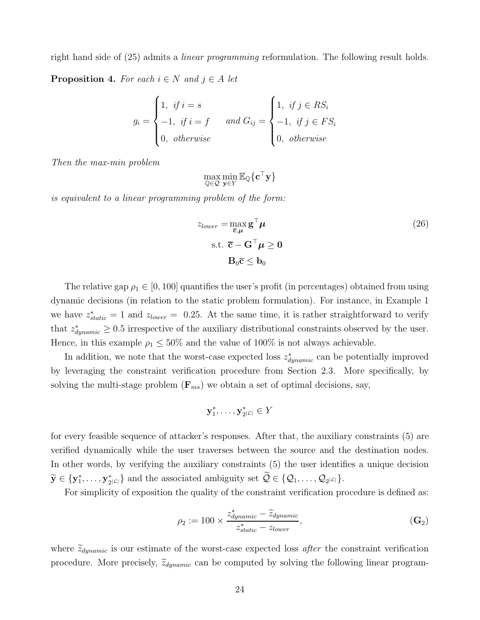right hand side of (25) admits a linear programming reformulation. The following result holds.

**Proposition 4.** For each  $i \in N$  and  $j \in A$  let

$$
g_i = \begin{cases} 1, & \text{if } i = s \\ -1, & \text{if } i = f \\ 0, & \text{otherwise} \end{cases} \quad and \ G_{ij} = \begin{cases} 1, & \text{if } j \in RS_i \\ -1, & \text{if } j \in FS_i \\ 0, & \text{otherwise} \end{cases}
$$

Then the max-min problem

$$
\max_{\mathbb{Q}\in\mathcal{Q}}\min_{\mathbf{y}\in Y}\mathbb{E}_{\mathbb{Q}}\{\mathbf{c}^{\top}\mathbf{y}\}
$$

is equivalent to a linear programming problem of the form:

$$
z_{lower} = \max_{\overline{c}, \mu} \mathbf{g}^{\top} \mu
$$
  
s.t.  $\overline{c} - \mathbf{G}^{\top} \mu \ge 0$   
 $\mathbf{B}_0 \overline{c} \le \mathbf{b}_0$  (26)

The relative gap  $\rho_1 \in [0, 100]$  quantifies the user's profit (in percentages) obtained from using dynamic decisions (in relation to the static problem formulation). For instance, in Example 1 we have  $z_{static}^{*} = 1$  and  $z_{lower} = 0.25$ . At the same time, it is rather straightforward to verify that  $z_{dynamic}^{*} \geq 0.5$  irrespective of the auxiliary distributional constraints observed by the user. Hence, in this example  $\rho_1 \leq 50\%$  and the value of 100% is not always achievable.

In addition, we note that the worst-case expected loss  $z_{dynamic}^*$  can be potentially improved by leveraging the constraint verification procedure from Section 2.3. More specifically, by solving the multi-stage problem  $(\mathbf{F}_{ms})$  we obtain a set of optimal decisions, say,

$$
\mathbf{y}_1^*,\ldots,\mathbf{y}_{2}^*z|\in Y
$$

for every feasible sequence of attacker's responses. After that, the auxiliary constraints (5) are verified dynamically while the user traverses between the source and the destination nodes. In other words, by verifying the auxiliary constraints (5) the user identifies a unique decision  $\widetilde{\mathbf{y}}\in\{\mathbf{y}^*_1,\dots,\mathbf{y}^*_2$  $\{2_{2} | z_{1} \}$  and the associated ambiguity set  $\mathcal{Q} \in \{ \mathcal{Q}_{1}, \ldots, \mathcal{Q}_{2} | z_{1} \}.$ 

For simplicity of exposition the quality of the constraint verification procedure is defined as:

$$
\rho_2 := 100 \times \frac{z_{dynamic}^* - \widetilde{z}_{dynamic}}{z_{static}^* - z_{lower}},
$$
\n(G<sub>2</sub>)

where  $\tilde{z}_{dynamic}$  is our estimate of the worst-case expected loss after the constraint verification procedure. More precisely,  $\tilde{z}_{dynamic}$  can be computed by solving the following linear program-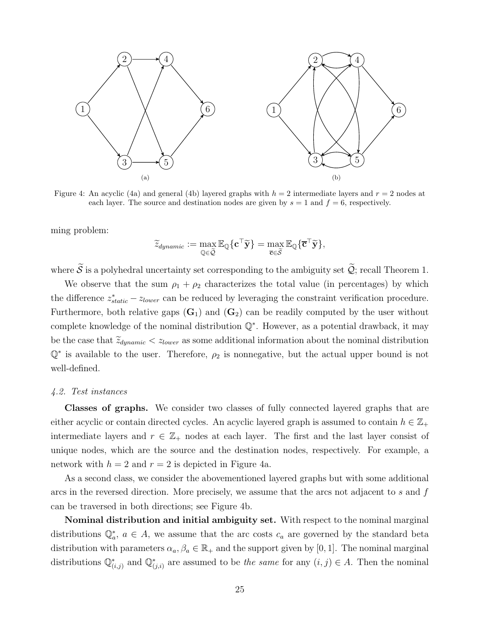

Figure 4: An acyclic (4a) and general (4b) layered graphs with  $h = 2$  intermediate layers and  $r = 2$  nodes at each layer. The source and destination nodes are given by  $s = 1$  and  $f = 6$ , respectively.

ming problem:

$$
\widetilde{z}_{dynamic} := \max_{\mathbb{Q} \in \widetilde{\mathcal{Q}}} \mathbb{E}_{\mathbb{Q}}\{\mathbf{c}^\top \widetilde{\mathbf{y}}\} = \max_{\mathbf{\overline{c}} \in \widetilde{\mathcal{S}}} \mathbb{E}_{\mathbb{Q}}\{\mathbf{\overline{c}}^\top \widetilde{\mathbf{y}}\},
$$

where  $\widetilde{S}$  is a polyhedral uncertainty set corresponding to the ambiguity set  $\widetilde{Q}$ ; recall Theorem 1.

We observe that the sum  $\rho_1 + \rho_2$  characterizes the total value (in percentages) by which the difference  $z_{static}^{*} - z_{lower}$  can be reduced by leveraging the constraint verification procedure. Furthermore, both relative gaps  $(G_1)$  and  $(G_2)$  can be readily computed by the user without complete knowledge of the nominal distribution Q<sup>∗</sup> . However, as a potential drawback, it may be the case that  $\tilde{z}_{dynamic} < z_{lower}$  as some additional information about the nominal distribution  $\mathbb{Q}^*$  is available to the user. Therefore,  $\rho_2$  is nonnegative, but the actual upper bound is not well-defined.

#### 4.2. Test instances

Classes of graphs. We consider two classes of fully connected layered graphs that are either acyclic or contain directed cycles. An acyclic layered graph is assumed to contain  $h \in \mathbb{Z}_+$ intermediate layers and  $r \in \mathbb{Z}_+$  nodes at each layer. The first and the last layer consist of unique nodes, which are the source and the destination nodes, respectively. For example, a network with  $h = 2$  and  $r = 2$  is depicted in Figure 4a.

As a second class, we consider the abovementioned layered graphs but with some additional arcs in the reversed direction. More precisely, we assume that the arcs not adjacent to s and f can be traversed in both directions; see Figure 4b.

Nominal distribution and initial ambiguity set. With respect to the nominal marginal distributions  $\mathbb{Q}_a^*$ ,  $a \in A$ , we assume that the arc costs  $c_a$  are governed by the standard beta distribution with parameters  $\alpha_a, \beta_a \in \mathbb{R}_+$  and the support given by [0, 1]. The nominal marginal distributions  $\mathbb{Q}_{(i,j)}^*$  and  $\mathbb{Q}_{(j,i)}^*$  are assumed to be the same for any  $(i,j) \in A$ . Then the nominal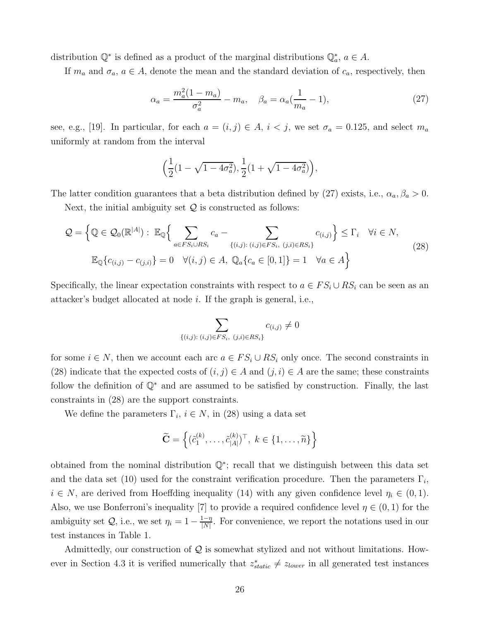distribution  $\mathbb{Q}^*$  is defined as a product of the marginal distributions  $\mathbb{Q}_a^*$ ,  $a \in A$ .

If  $m_a$  and  $\sigma_a$ ,  $a \in A$ , denote the mean and the standard deviation of  $c_a$ , respectively, then

$$
\alpha_a = \frac{m_a^2(1 - m_a)}{\sigma_a^2} - m_a, \quad \beta_a = \alpha_a(\frac{1}{m_a} - 1), \tag{27}
$$

see, e.g., [19]. In particular, for each  $a = (i, j) \in A$ ,  $i < j$ , we set  $\sigma_a = 0.125$ , and select  $m_a$ uniformly at random from the interval

$$
\Big(\frac{1}{2}(1-\sqrt{1-4\sigma_a^2}), \frac{1}{2}(1+\sqrt{1-4\sigma_a^2})\Big),\,
$$

The latter condition guarantees that a beta distribution defined by (27) exists, i.e.,  $\alpha_a$ ,  $\beta_a > 0$ .

Next, the initial ambiguity set  $Q$  is constructed as follows:

$$
Q = \left\{ \mathbb{Q} \in \mathcal{Q}_0(\mathbb{R}^{|A|}) : \mathbb{E}_{\mathbb{Q}} \left\{ \sum_{a \in FS_i \cup RS_i} c_a - \sum_{\{(i,j) : (i,j) \in FS_i, (j,i) \in RS_i\}} c_{(i,j)} \right\} \leq \Gamma_i \quad \forall i \in N, \mathbb{E}_{\mathbb{Q}} \{ c_{(i,j)} - c_{(j,i)} \} = 0 \quad \forall (i,j) \in A, \ \mathbb{Q}_a \{ c_a \in [0,1] \} = 1 \quad \forall a \in A \right\}
$$
\n(28)

Specifically, the linear expectation constraints with respect to  $a \in FS_i \cup RS_i$  can be seen as an attacker's budget allocated at node i. If the graph is general, i.e.,

$$
\sum_{\{(i,j): (i,j)\in FS_i, (j,i)\in RS_i\}} c_{(i,j)} \neq 0
$$

for some  $i \in N$ , then we account each arc  $a \in FS_i \cup RS_i$  only once. The second constraints in (28) indicate that the expected costs of  $(i, j) \in A$  and  $(j, i) \in A$  are the same; these constraints follow the definition of Q<sup>∗</sup> and are assumed to be satisfied by construction. Finally, the last constraints in (28) are the support constraints.

We define the parameters  $\Gamma_i$ ,  $i \in N$ , in (28) using a data set

$$
\widetilde{\mathbf{C}} = \left\{ (\widetilde{c}_1^{(k)}, \dots, \widetilde{c}_{|A|}^{(k)})^\top, \ k \in \{1, \dots, \widetilde{n}\} \right\}
$$

obtained from the nominal distribution Q<sup>∗</sup> ; recall that we distinguish between this data set and the data set (10) used for the constraint verification procedure. Then the parameters  $\Gamma_i$ ,  $i \in N$ , are derived from Hoeffding inequality (14) with any given confidence level  $\eta_i \in (0,1)$ . Also, we use Bonferroni's inequality [7] to provide a required confidence level  $\eta \in (0,1)$  for the ambiguity set  $Q$ , i.e., we set  $\eta_i = 1 - \frac{1 - \eta_i}{|N|}$  $\frac{1-\eta}{|N|}$ . For convenience, we report the notations used in our test instances in Table 1.

Admittedly, our construction of  $Q$  is somewhat stylized and not without limitations. However in Section 4.3 it is verified numerically that  $z_{static}^{*} \neq z_{lower}$  in all generated test instances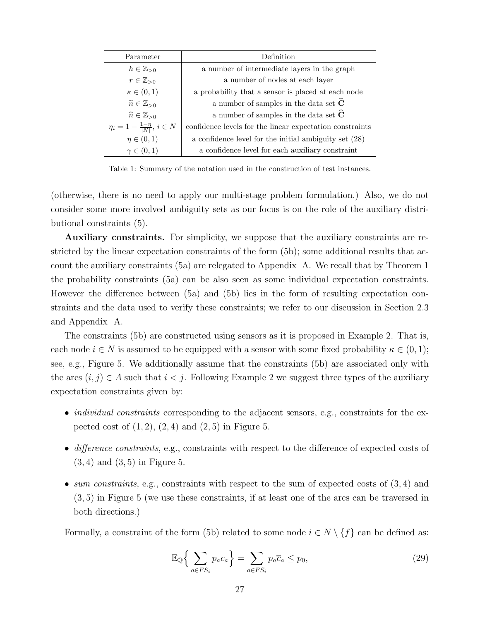| Parameter                                    | Definition                                               |
|----------------------------------------------|----------------------------------------------------------|
| $h\in\mathbb{Z}_{>0}$                        | a number of intermediate layers in the graph             |
| $r \in \mathbb{Z}_{>0}$                      | a number of nodes at each layer                          |
| $\kappa \in (0,1)$                           | a probability that a sensor is placed at each node       |
| $\widetilde{n} \in \mathbb{Z}_{>0}$          | a number of samples in the data set $\tilde{C}$          |
| $\widehat{n}\in\mathbb{Z}_{>0}$              | a number of samples in the data set $\widehat{C}$        |
| $\eta_i = 1 - \frac{1 - \eta}{ N }, i \in N$ | confidence levels for the linear expectation constraints |
| $\eta \in (0,1)$                             | a confidence level for the initial ambiguity set (28)    |
| $\gamma \in (0,1)$                           | a confidence level for each auxiliary constraint         |

Table 1: Summary of the notation used in the construction of test instances.

(otherwise, there is no need to apply our multi-stage problem formulation.) Also, we do not consider some more involved ambiguity sets as our focus is on the role of the auxiliary distributional constraints (5).

Auxiliary constraints. For simplicity, we suppose that the auxiliary constraints are restricted by the linear expectation constraints of the form (5b); some additional results that account the auxiliary constraints (5a) are relegated to Appendix A. We recall that by Theorem 1 the probability constraints (5a) can be also seen as some individual expectation constraints. However the difference between (5a) and (5b) lies in the form of resulting expectation constraints and the data used to verify these constraints; we refer to our discussion in Section 2.3 and Appendix A.

The constraints (5b) are constructed using sensors as it is proposed in Example 2. That is, each node  $i \in N$  is assumed to be equipped with a sensor with some fixed probability  $\kappa \in (0,1)$ ; see, e.g., Figure 5. We additionally assume that the constraints (5b) are associated only with the arcs  $(i, j) \in A$  such that  $i < j$ . Following Example 2 we suggest three types of the auxiliary expectation constraints given by:

- *individual constraints* corresponding to the adjacent sensors, e.g., constraints for the expected cost of  $(1, 2)$ ,  $(2, 4)$  and  $(2, 5)$  in Figure 5.
- difference constraints, e.g., constraints with respect to the difference of expected costs of  $(3, 4)$  and  $(3, 5)$  in Figure 5.
- sum constraints, e.g., constraints with respect to the sum of expected costs of  $(3, 4)$  and (3, 5) in Figure 5 (we use these constraints, if at least one of the arcs can be traversed in both directions.)

Formally, a constraint of the form (5b) related to some node  $i \in N \setminus \{f\}$  can be defined as:

$$
\mathbb{E}_{\mathbb{Q}}\left\{\sum_{a\in FS_i}p_a c_a\right\} = \sum_{a\in FS_i}p_a \overline{c}_a \le p_0,\tag{29}
$$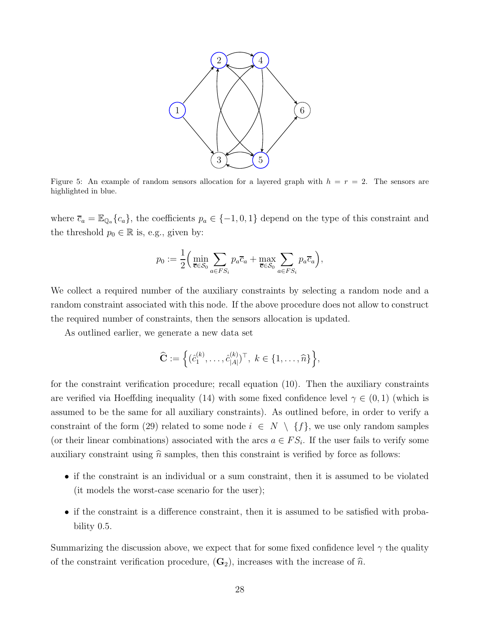

Figure 5: An example of random sensors allocation for a layered graph with  $h = r = 2$ . The sensors are highlighted in blue.

where  $\bar{c}_a = \mathbb{E}_{\mathbb{Q}_a} \{c_a\}$ , the coefficients  $p_a \in \{-1, 0, 1\}$  depend on the type of this constraint and the threshold  $p_0 \in \mathbb{R}$  is, e.g., given by:

$$
p_0 := \frac{1}{2} \Big( \min_{\overline{\mathbf{c}} \in \mathcal{S}_0} \sum_{a \in FS_i} p_a \overline{c}_a + \max_{\overline{\mathbf{c}} \in \mathcal{S}_0} \sum_{a \in FS_i} p_a \overline{c}_a \Big),
$$

We collect a required number of the auxiliary constraints by selecting a random node and a random constraint associated with this node. If the above procedure does not allow to construct the required number of constraints, then the sensors allocation is updated.

As outlined earlier, we generate a new data set

$$
\widehat{\mathbf{C}} := \left\{ (\hat{c}_1^{(k)}, \dots, \hat{c}_{|A|}^{(k)})^\top, \ k \in \{1, \dots, \widehat{n}\} \right\},\
$$

for the constraint verification procedure; recall equation (10). Then the auxiliary constraints are verified via Hoeffding inequality (14) with some fixed confidence level  $\gamma \in (0,1)$  (which is assumed to be the same for all auxiliary constraints). As outlined before, in order to verify a constraint of the form (29) related to some node  $i \in N \setminus \{f\}$ , we use only random samples (or their linear combinations) associated with the arcs  $a \in FS_i$ . If the user fails to verify some auxiliary constraint using  $\hat{n}$  samples, then this constraint is verified by force as follows:

- if the constraint is an individual or a sum constraint, then it is assumed to be violated (it models the worst-case scenario for the user);
- if the constraint is a difference constraint, then it is assumed to be satisfied with probability 0.5.

Summarizing the discussion above, we expect that for some fixed confidence level  $\gamma$  the quality of the constraint verification procedure,  $(G_2)$ , increases with the increase of  $\hat{n}$ .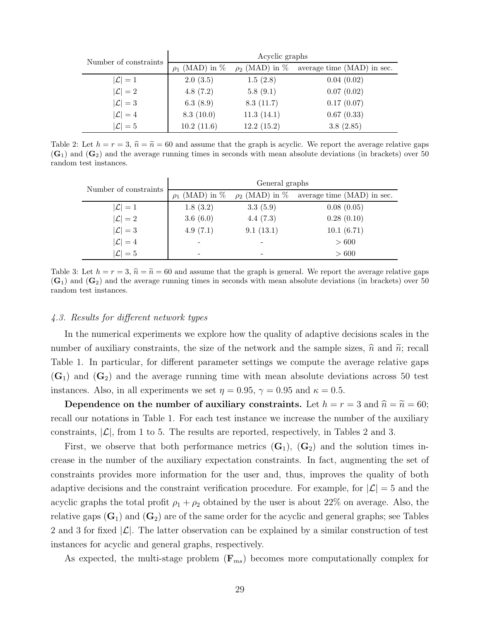| Number of constraints | Acyclic graphs      |                     |                            |  |
|-----------------------|---------------------|---------------------|----------------------------|--|
|                       | $\rho_1$ (MAD) in % | $\rho_2$ (MAD) in % | average time (MAD) in sec. |  |
| $ \mathcal{L} =1$     | 2.0(3.5)            | 1.5(2.8)            | 0.04(0.02)                 |  |
| $ \mathcal{L} =2$     | 4.8(7.2)            | 5.8(9.1)            | 0.07(0.02)                 |  |
| $ \mathcal{L} =3$     | 6.3(8.9)            | 8.3(11.7)           | 0.17(0.07)                 |  |
| $ \mathcal{L} =4$     | 8.3(10.0)           | 11.3(14.1)          | 0.67(0.33)                 |  |
| $ \mathcal{L} =5$     | 10.2(11.6)          | 12.2(15.2)          | 3.8(2.85)                  |  |

Table 2: Let  $h = r = 3$ ,  $\hat{n} = \tilde{n} = 60$  and assume that the graph is acyclic. We report the average relative gaps  $(G_1)$  and  $(G_2)$  and the average running times in seconds with mean absolute deviations (in brackets) over 50 random test instances.

| Number of constraints | General graphs           |           |                                                |  |
|-----------------------|--------------------------|-----------|------------------------------------------------|--|
|                       | (MAD) in $%$<br>$\rho_1$ |           | $\rho_2$ (MAD) in % average time (MAD) in sec. |  |
| $ \mathcal{L} =1$     | 1.8(3.2)                 | 3.3(5.9)  | 0.08(0.05)                                     |  |
| $ \mathcal{L} =2$     | 3.6(6.0)                 | 4.4(7.3)  | 0.28(0.10)                                     |  |
| $ \mathcal{L} =3$     | 4.9(7.1)                 | 9.1(13.1) | 10.1(6.71)                                     |  |
| $ \mathcal{L} =4$     |                          |           | > 600                                          |  |
| $ \mathcal{L} =5$     |                          | -         | > 600                                          |  |

Table 3: Let  $h = r = 3$ ,  $\hat{n} = \tilde{n} = 60$  and assume that the graph is general. We report the average relative gaps  $(G_1)$  and  $(G_2)$  and the average running times in seconds with mean absolute deviations (in brackets) over 50 random test instances.

# 4.3. Results for different network types

In the numerical experiments we explore how the quality of adaptive decisions scales in the number of auxiliary constraints, the size of the network and the sample sizes,  $\hat{n}$  and  $\tilde{n}$ ; recall Table 1. In particular, for different parameter settings we compute the average relative gaps  $(G_1)$  and  $(G_2)$  and the average running time with mean absolute deviations across 50 test instances. Also, in all experiments we set  $\eta = 0.95$ ,  $\gamma = 0.95$  and  $\kappa = 0.5$ .

Dependence on the number of auxiliary constraints. Let  $h = r = 3$  and  $\hat{n} = \tilde{n} = 60;$ recall our notations in Table 1. For each test instance we increase the number of the auxiliary constraints,  $|\mathcal{L}|$ , from 1 to 5. The results are reported, respectively, in Tables 2 and 3.

First, we observe that both performance metrics  $(G_1)$ ,  $(G_2)$  and the solution times increase in the number of the auxiliary expectation constraints. In fact, augmenting the set of constraints provides more information for the user and, thus, improves the quality of both adaptive decisions and the constraint verification procedure. For example, for  $|\mathcal{L}| = 5$  and the acyclic graphs the total profit  $\rho_1 + \rho_2$  obtained by the user is about 22% on average. Also, the relative gaps  $(G_1)$  and  $(G_2)$  are of the same order for the acyclic and general graphs; see Tables 2 and 3 for fixed  $|\mathcal{L}|$ . The latter observation can be explained by a similar construction of test instances for acyclic and general graphs, respectively.

As expected, the multi-stage problem  $(\mathbf{F}_{ms})$  becomes more computationally complex for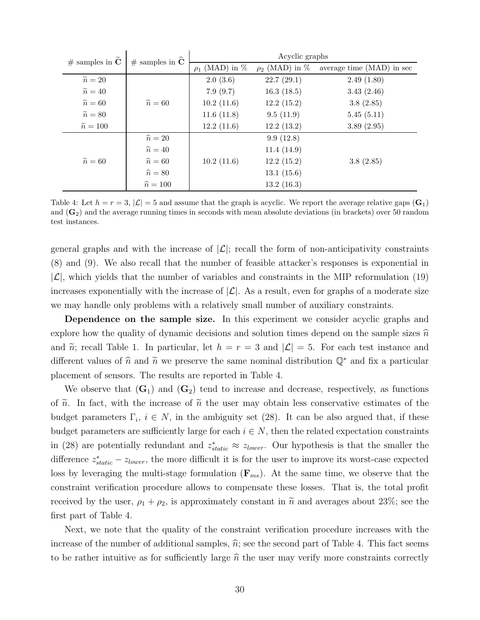| # samples in $\tilde{\mathbf{C}}$ | # samples in $\hat{C}$ | Acyclic graphs      |                     |                           |  |
|-----------------------------------|------------------------|---------------------|---------------------|---------------------------|--|
|                                   |                        | $\rho_1$ (MAD) in % | $\rho_2$ (MAD) in % | average time (MAD) in sec |  |
| $\widetilde{n}=20$                |                        | 2.0(3.6)            | 22.7(29.1)          | 2.49(1.80)                |  |
| $\widetilde{n}=40$                |                        | 7.9(9.7)            | 16.3(18.5)          | 3.43(2.46)                |  |
| $\widetilde{n}=60$                | $\hat{n} = 60$         | 10.2(11.6)          | 12.2(15.2)          | 3.8(2.85)                 |  |
| $\widetilde{n}=80$                |                        | 11.6(11.8)          | 9.5(11.9)           | 5.45(5.11)                |  |
| $\widetilde{n}=100$               |                        | 12.2(11.6)          | 12.2(13.2)          | 3.89(2.95)                |  |
|                                   | $\hat{n}=20$           |                     | 9.9(12.8)           |                           |  |
|                                   | $\hat{n}=40$           |                     | 11.4(14.9)          |                           |  |
| $\widetilde{n}=60$                | $\hat{n}=60$           | 10.2(11.6)          | 12.2(15.2)          | 3.8(2.85)                 |  |
|                                   | $\hat{n} = 80$         |                     | 13.1(15.6)          |                           |  |
|                                   | $\hat{n} = 100$        |                     | 13.2(16.3)          |                           |  |

Table 4: Let  $h = r = 3$ ,  $|\mathcal{L}| = 5$  and assume that the graph is acyclic. We report the average relative gaps  $(\mathbf{G}_1)$ and  $(G_2)$  and the average running times in seconds with mean absolute deviations (in brackets) over 50 random test instances.

general graphs and with the increase of  $|\mathcal{L}|$ ; recall the form of non-anticipativity constraints (8) and (9). We also recall that the number of feasible attacker's responses is exponential in  $|\mathcal{L}|$ , which yields that the number of variables and constraints in the MIP reformulation (19) increases exponentially with the increase of  $|\mathcal{L}|$ . As a result, even for graphs of a moderate size we may handle only problems with a relatively small number of auxiliary constraints.

Dependence on the sample size. In this experiment we consider acyclic graphs and explore how the quality of dynamic decisions and solution times depend on the sample sizes  $\hat{n}$ and  $\tilde{n}$ ; recall Table 1. In particular, let  $h = r = 3$  and  $|\mathcal{L}| = 5$ . For each test instance and different values of  $\hat{n}$  and  $\tilde{n}$  we preserve the same nominal distribution  $\mathbb{Q}^*$  and fix a particular placement of sensors. The results are reported in Table 4.

We observe that  $(G_1)$  and  $(G_2)$  tend to increase and decrease, respectively, as functions of  $\tilde{n}$ . In fact, with the increase of  $\tilde{n}$  the user may obtain less conservative estimates of the budget parameters  $\Gamma_i$ ,  $i \in N$ , in the ambiguity set (28). It can be also argued that, if these budget parameters are sufficiently large for each  $i \in N$ , then the related expectation constraints in (28) are potentially redundant and  $z_{static}^* \approx z_{lower}$ . Our hypothesis is that the smaller the difference  $z_{static}^{*} - z_{lower}$ , the more difficult it is for the user to improve its worst-case expected loss by leveraging the multi-stage formulation  $(\mathbf{F}_{ms})$ . At the same time, we observe that the constraint verification procedure allows to compensate these losses. That is, the total profit received by the user,  $\rho_1 + \rho_2$ , is approximately constant in  $\tilde{n}$  and averages about 23%; see the first part of Table 4.

Next, we note that the quality of the constraint verification procedure increases with the increase of the number of additional samples,  $\hat{n}$ ; see the second part of Table 4. This fact seems to be rather intuitive as for sufficiently large  $\hat{n}$  the user may verify more constraints correctly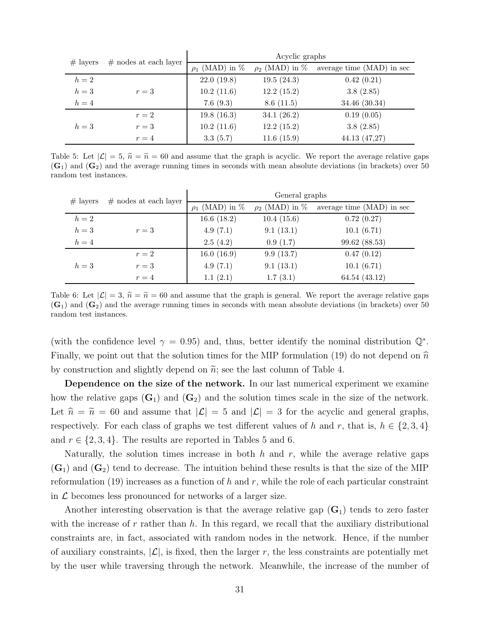| $#$ layers | $#$ nodes at each layer | Acyclic graphs      |                     |                           |  |
|------------|-------------------------|---------------------|---------------------|---------------------------|--|
|            |                         | $\rho_1$ (MAD) in % | $\rho_2$ (MAD) in % | average time (MAD) in sec |  |
| $h=2$      |                         | 22.0(19.8)          | 19.5(24.3)          | 0.42(0.21)                |  |
| $h=3$      | $r=3$                   | 10.2(11.6)          | 12.2(15.2)          | 3.8(2.85)                 |  |
| $h=4$      |                         | 7.6(9.3)            | 8.6(11.5)           | 34.46 (30.34)             |  |
|            | $r=2$                   | 19.8(16.3)          | 34.1 $(26.2)$       | 0.19(0.05)                |  |
| $h=3$      | $r=3$                   | 10.2(11.6)          | 12.2(15.2)          | 3.8(2.85)                 |  |
|            | $r=4$                   | 3.3(5.7)            | 11.6(15.9)          | 44.13 (47,27)             |  |

Table 5: Let  $|\mathcal{L}| = 5$ ,  $\hat{n} = \tilde{n} = 60$  and assume that the graph is acyclic. We report the average relative gaps  $(G_1)$  and  $(G_2)$  and the average running times in seconds with mean absolute deviations (in brackets) over 50 random test instances.

| $#$ layers | $#$ nodes at each layer | General graphs      |                     |                           |  |
|------------|-------------------------|---------------------|---------------------|---------------------------|--|
|            |                         | $\rho_1$ (MAD) in % | $\rho_2$ (MAD) in % | average time (MAD) in sec |  |
| $h=2$      |                         | 16.6(18.2)          | 10.4(15.6)          | 0.72(0.27)                |  |
| $h=3$      | $r=3$                   | 4.9(7.1)            | 9.1(13.1)           | 10.1(6.71)                |  |
| $h=4$      |                         | 2.5(4.2)            | 0.9(1.7)            | 99.62 (88.53)             |  |
|            | $r=2$                   | 16.0(16.9)          | 9.9(13.7)           | 0.47(0.12)                |  |
| $h=3$      | $r=3$                   | 4.9(7.1)            | 9.1(13.1)           | 10.1(6.71)                |  |
|            | $r=4$                   | 1.1(2.1)            | 1.7(3.1)            | 64.54 (43.12)             |  |

Table 6: Let  $|\mathcal{L}| = 3$ ,  $\hat{n} = \tilde{n} = 60$  and assume that the graph is general. We report the average relative gaps  $(G_1)$  and  $(G_2)$  and the average running times in seconds with mean absolute deviations (in brackets) over 50 random test instances.

(with the confidence level  $\gamma = 0.95$ ) and, thus, better identify the nominal distribution  $\mathbb{Q}^*$ . Finally, we point out that the solution times for the MIP formulation (19) do not depend on  $\hat{n}$ by construction and slightly depend on  $\tilde{n}$ ; see the last column of Table 4.

Dependence on the size of the network. In our last numerical experiment we examine how the relative gaps  $(G_1)$  and  $(G_2)$  and the solution times scale in the size of the network. Let  $\hat{n} = \tilde{n} = 60$  and assume that  $|\mathcal{L}| = 5$  and  $|\mathcal{L}| = 3$  for the acyclic and general graphs, respectively. For each class of graphs we test different values of h and r, that is,  $h \in \{2, 3, 4\}$ and  $r \in \{2, 3, 4\}$ . The results are reported in Tables 5 and 6.

Naturally, the solution times increase in both h and r, while the average relative gaps  $(\mathbf{G}_1)$  and  $(\mathbf{G}_2)$  tend to decrease. The intuition behind these results is that the size of the MIP reformulation (19) increases as a function of h and r, while the role of each particular constraint in  $\mathcal L$  becomes less pronounced for networks of a larger size.

Another interesting observation is that the average relative gap  $(G_1)$  tends to zero faster with the increase of r rather than h. In this regard, we recall that the auxiliary distributional constraints are, in fact, associated with random nodes in the network. Hence, if the number of auxiliary constraints,  $|\mathcal{L}|$ , is fixed, then the larger r, the less constraints are potentially met by the user while traversing through the network. Meanwhile, the increase of the number of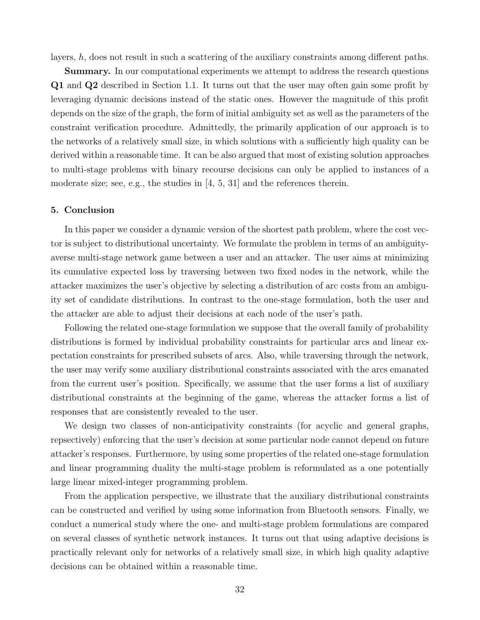layers, h, does not result in such a scattering of the auxiliary constraints among different paths.

Summary. In our computational experiments we attempt to address the research questions Q1 and Q2 described in Section 1.1. It turns out that the user may often gain some profit by leveraging dynamic decisions instead of the static ones. However the magnitude of this profit depends on the size of the graph, the form of initial ambiguity set as well as the parameters of the constraint verification procedure. Admittedly, the primarily application of our approach is to the networks of a relatively small size, in which solutions with a sufficiently high quality can be derived within a reasonable time. It can be also argued that most of existing solution approaches to multi-stage problems with binary recourse decisions can only be applied to instances of a moderate size; see, e.g., the studies in  $[4, 5, 31]$  and the references therein.

### 5. Conclusion

In this paper we consider a dynamic version of the shortest path problem, where the cost vector is subject to distributional uncertainty. We formulate the problem in terms of an ambiguityaverse multi-stage network game between a user and an attacker. The user aims at minimizing its cumulative expected loss by traversing between two fixed nodes in the network, while the attacker maximizes the user's objective by selecting a distribution of arc costs from an ambiguity set of candidate distributions. In contrast to the one-stage formulation, both the user and the attacker are able to adjust their decisions at each node of the user's path.

Following the related one-stage formulation we suppose that the overall family of probability distributions is formed by individual probability constraints for particular arcs and linear expectation constraints for prescribed subsets of arcs. Also, while traversing through the network, the user may verify some auxiliary distributional constraints associated with the arcs emanated from the current user's position. Specifically, we assume that the user forms a list of auxiliary distributional constraints at the beginning of the game, whereas the attacker forms a list of responses that are consistently revealed to the user.

We design two classes of non-anticipativity constraints (for acyclic and general graphs, repsectively) enforcing that the user's decision at some particular node cannot depend on future attacker's responses. Furthermore, by using some properties of the related one-stage formulation and linear programming duality the multi-stage problem is reformulated as a one potentially large linear mixed-integer programming problem.

From the application perspective, we illustrate that the auxiliary distributional constraints can be constructed and verified by using some information from Bluetooth sensors. Finally, we conduct a numerical study where the one- and multi-stage problem formulations are compared on several classes of synthetic network instances. It turns out that using adaptive decisions is practically relevant only for networks of a relatively small size, in which high quality adaptive decisions can be obtained within a reasonable time.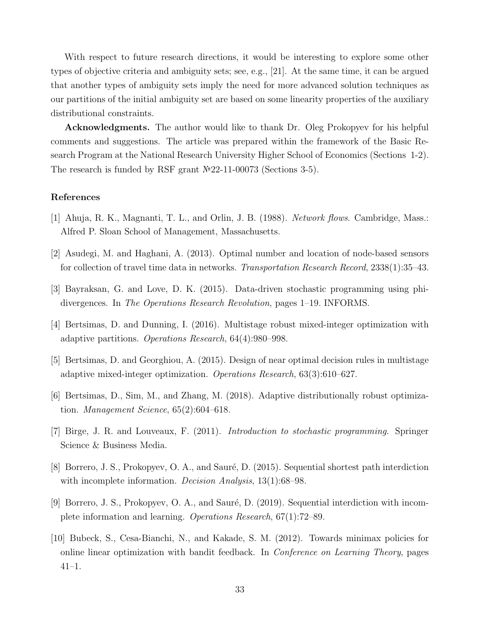With respect to future research directions, it would be interesting to explore some other types of objective criteria and ambiguity sets; see, e.g., [21]. At the same time, it can be argued that another types of ambiguity sets imply the need for more advanced solution techniques as our partitions of the initial ambiguity set are based on some linearity properties of the auxiliary distributional constraints.

Acknowledgments. The author would like to thank Dr. Oleg Prokopyev for his helpful comments and suggestions. The article was prepared within the framework of the Basic Research Program at the National Research University Higher School of Economics (Sections 1-2). The research is funded by RSF grant №22-11-00073 (Sections 3-5).

## References

- [1] Ahuja, R. K., Magnanti, T. L., and Orlin, J. B. (1988). Network flows. Cambridge, Mass.: Alfred P. Sloan School of Management, Massachusetts.
- [2] Asudegi, M. and Haghani, A. (2013). Optimal number and location of node-based sensors for collection of travel time data in networks. Transportation Research Record, 2338(1):35–43.
- [3] Bayraksan, G. and Love, D. K. (2015). Data-driven stochastic programming using phidivergences. In The Operations Research Revolution, pages 1–19. INFORMS.
- [4] Bertsimas, D. and Dunning, I. (2016). Multistage robust mixed-integer optimization with adaptive partitions. Operations Research, 64(4):980–998.
- [5] Bertsimas, D. and Georghiou, A. (2015). Design of near optimal decision rules in multistage adaptive mixed-integer optimization. Operations Research, 63(3):610–627.
- [6] Bertsimas, D., Sim, M., and Zhang, M. (2018). Adaptive distributionally robust optimization. Management Science, 65(2):604–618.
- [7] Birge, J. R. and Louveaux, F. (2011). Introduction to stochastic programming. Springer Science & Business Media.
- [8] Borrero, J. S., Prokopyev, O. A., and Sauré, D. (2015). Sequential shortest path interdiction with incomplete information. *Decision Analysis*, 13(1):68–98.
- [9] Borrero, J. S., Prokopyev, O. A., and Sauré, D.  $(2019)$ . Sequential interdiction with incomplete information and learning. Operations Research, 67(1):72–89.
- [10] Bubeck, S., Cesa-Bianchi, N., and Kakade, S. M. (2012). Towards minimax policies for online linear optimization with bandit feedback. In Conference on Learning Theory, pages 41–1.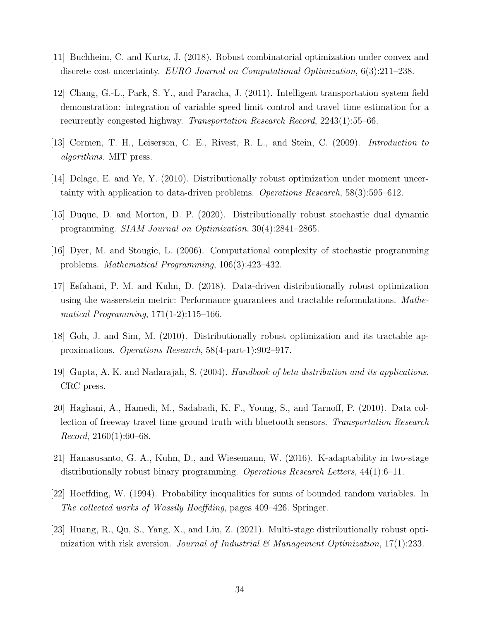- [11] Buchheim, C. and Kurtz, J. (2018). Robust combinatorial optimization under convex and discrete cost uncertainty. EURO Journal on Computational Optimization, 6(3):211–238.
- [12] Chang, G.-L., Park, S. Y., and Paracha, J. (2011). Intelligent transportation system field demonstration: integration of variable speed limit control and travel time estimation for a recurrently congested highway. Transportation Research Record, 2243(1):55–66.
- [13] Cormen, T. H., Leiserson, C. E., Rivest, R. L., and Stein, C. (2009). Introduction to algorithms. MIT press.
- [14] Delage, E. and Ye, Y. (2010). Distributionally robust optimization under moment uncertainty with application to data-driven problems. Operations Research, 58(3):595–612.
- [15] Duque, D. and Morton, D. P. (2020). Distributionally robust stochastic dual dynamic programming. SIAM Journal on Optimization, 30(4):2841–2865.
- [16] Dyer, M. and Stougie, L. (2006). Computational complexity of stochastic programming problems. Mathematical Programming, 106(3):423–432.
- [17] Esfahani, P. M. and Kuhn, D. (2018). Data-driven distributionally robust optimization using the wasserstein metric: Performance guarantees and tractable reformulations. Mathematical Programming, 171(1-2):115–166.
- [18] Goh, J. and Sim, M. (2010). Distributionally robust optimization and its tractable approximations. Operations Research, 58(4-part-1):902–917.
- [19] Gupta, A. K. and Nadarajah, S. (2004). Handbook of beta distribution and its applications. CRC press.
- [20] Haghani, A., Hamedi, M., Sadabadi, K. F., Young, S., and Tarnoff, P. (2010). Data collection of freeway travel time ground truth with bluetooth sensors. Transportation Research *Record*,  $2160(1):60-68$ .
- [21] Hanasusanto, G. A., Kuhn, D., and Wiesemann, W. (2016). K-adaptability in two-stage distributionally robust binary programming. Operations Research Letters, 44(1):6–11.
- [22] Hoeffding, W. (1994). Probability inequalities for sums of bounded random variables. In The collected works of Wassily Hoeffding, pages 409–426. Springer.
- [23] Huang, R., Qu, S., Yang, X., and Liu, Z. (2021). Multi-stage distributionally robust optimization with risk aversion. Journal of Industrial & Management Optimization, 17(1):233.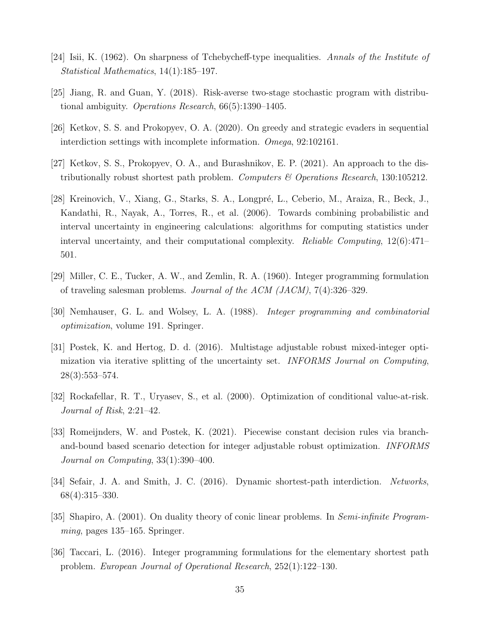- [24] Isii, K. (1962). On sharpness of Tchebycheff-type inequalities. Annals of the Institute of Statistical Mathematics, 14(1):185–197.
- [25] Jiang, R. and Guan, Y. (2018). Risk-averse two-stage stochastic program with distributional ambiguity. Operations Research, 66(5):1390–1405.
- [26] Ketkov, S. S. and Prokopyev, O. A. (2020). On greedy and strategic evaders in sequential interdiction settings with incomplete information. Omega, 92:102161.
- [27] Ketkov, S. S., Prokopyev, O. A., and Burashnikov, E. P. (2021). An approach to the distributionally robust shortest path problem. Computers  $\mathcal B$  Operations Research, 130:105212.
- [28] Kreinovich, V., Xiang, G., Starks, S. A., Longpré, L., Ceberio, M., Araiza, R., Beck, J., Kandathi, R., Nayak, A., Torres, R., et al. (2006). Towards combining probabilistic and interval uncertainty in engineering calculations: algorithms for computing statistics under interval uncertainty, and their computational complexity. Reliable Computing, 12(6):471– 501.
- [29] Miller, C. E., Tucker, A. W., and Zemlin, R. A. (1960). Integer programming formulation of traveling salesman problems. Journal of the ACM (JACM), 7(4):326–329.
- [30] Nemhauser, G. L. and Wolsey, L. A. (1988). Integer programming and combinatorial optimization, volume 191. Springer.
- [31] Postek, K. and Hertog, D. d. (2016). Multistage adjustable robust mixed-integer optimization via iterative splitting of the uncertainty set. INFORMS Journal on Computing, 28(3):553–574.
- [32] Rockafellar, R. T., Uryasev, S., et al. (2000). Optimization of conditional value-at-risk. Journal of Risk, 2:21–42.
- [33] Romeijnders, W. and Postek, K. (2021). Piecewise constant decision rules via branchand-bound based scenario detection for integer adjustable robust optimization. INFORMS Journal on Computing, 33(1):390–400.
- [34] Sefair, J. A. and Smith, J. C. (2016). Dynamic shortest-path interdiction. Networks, 68(4):315–330.
- [35] Shapiro, A. (2001). On duality theory of conic linear problems. In Semi-infinite Program $minq$ , pages 135–165. Springer.
- [36] Taccari, L. (2016). Integer programming formulations for the elementary shortest path problem. European Journal of Operational Research, 252(1):122–130.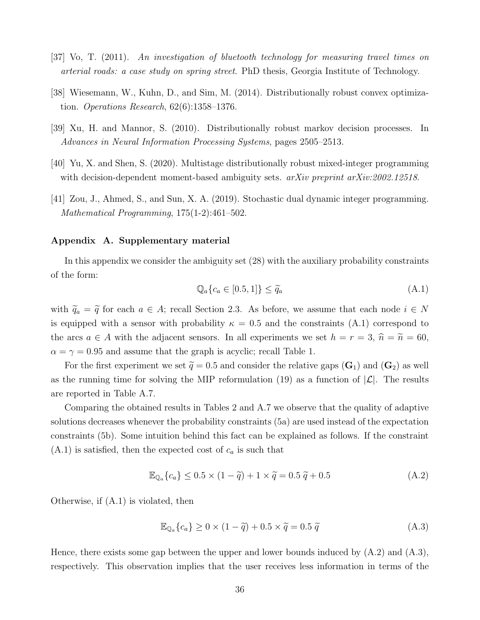- [37] Vo, T. (2011). An investigation of bluetooth technology for measuring travel times on arterial roads: a case study on spring street. PhD thesis, Georgia Institute of Technology.
- [38] Wiesemann, W., Kuhn, D., and Sim, M. (2014). Distributionally robust convex optimization. Operations Research, 62(6):1358–1376.
- [39] Xu, H. and Mannor, S. (2010). Distributionally robust markov decision processes. In Advances in Neural Information Processing Systems, pages 2505–2513.
- [40] Yu, X. and Shen, S. (2020). Multistage distributionally robust mixed-integer programming with decision-dependent moment-based ambiguity sets. *arXiv preprint arXiv:2002.12518*.
- [41] Zou, J., Ahmed, S., and Sun, X. A. (2019). Stochastic dual dynamic integer programming. Mathematical Programming, 175(1-2):461–502.

# Appendix A. Supplementary material

In this appendix we consider the ambiguity set (28) with the auxiliary probability constraints of the form:

$$
\mathbb{Q}_a\{c_a \in [0.5, 1]\} \le \widetilde{q}_a \tag{A.1}
$$

with  $\tilde{q}_a = \tilde{q}$  for each  $a \in A$ ; recall Section 2.3. As before, we assume that each node  $i \in N$ is equipped with a sensor with probability  $\kappa = 0.5$  and the constraints (A.1) correspond to the arcs  $a \in A$  with the adjacent sensors. In all experiments we set  $h = r = 3$ ,  $\hat{n} = \tilde{n} = 60$ ,  $\alpha = \gamma = 0.95$  and assume that the graph is acyclic; recall Table 1.

For the first experiment we set  $\tilde{q} = 0.5$  and consider the relative gaps  $(G_1)$  and  $(G_2)$  as well as the running time for solving the MIP reformulation (19) as a function of  $|\mathcal{L}|$ . The results are reported in Table A.7.

Comparing the obtained results in Tables 2 and A.7 we observe that the quality of adaptive solutions decreases whenever the probability constraints (5a) are used instead of the expectation constraints (5b). Some intuition behind this fact can be explained as follows. If the constraint  $(A.1)$  is satisfied, then the expected cost of  $c_a$  is such that

$$
\mathbb{E}_{\mathbb{Q}_a} \{c_a\} \le 0.5 \times (1 - \tilde{q}) + 1 \times \tilde{q} = 0.5 \tilde{q} + 0.5 \tag{A.2}
$$

Otherwise, if (A.1) is violated, then

$$
\mathbb{E}_{\mathbb{Q}_a} \{c_a\} \ge 0 \times (1 - \tilde{q}) + 0.5 \times \tilde{q} = 0.5 \tilde{q}
$$
\n(A.3)

Hence, there exists some gap between the upper and lower bounds induced by  $(A.2)$  and  $(A.3)$ , respectively. This observation implies that the user receives less information in terms of the